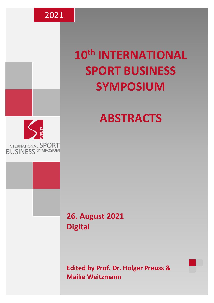

# **10th INTERNATIONAL SPORT BUSINESS SYMPOSIUM**



# **ABSTRACTS**

# **26. August 2021 Digital**

**Edited by Prof. Dr. Holger Preuss & Maike Weitzmann**

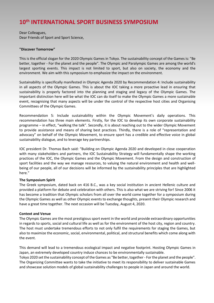# **10th INTERNATIONAL SPORT BUSINESS SYMPOSIUM**

Dear Colleagues, Dear Friends of Sport and Sport Science,

#### **"Discover Tomorrow"**

This is the official slogan for the 2020 Olympic Games in Tokyo. The sustainability concept of the Games is: "Be better, together - For the planet and the people". The Olympic and Paralympic Games are among the world's largest sporting events. This impact is not limited to sport, but also on society, the economy and the environment. We aim with this symposium to emphasize the impact on the environment.

Sustainability is specifically manifested in Olympic Agenda 2020 by Recommendation 4: Include sustainability in all aspects of the Olympic Games. This is about the IOC taking a more proactive lead in ensuring that sustainability is properly factored into the planning and staging and legacy of the Olympic Games. The important distinction here will be what the IOC can do itself to make the Olympic Games a more sustainable event, recognising that many aspects will be under the control of the respective host cities and Organising Committees of the Olympic Games.

Recommendation 5: Include sustainability within the Olympic Movement's daily operations. This recommendation has three main elements. Firstly, for the IOC to develop its own corporate sustainability programme – in effect, "walking the talk". Secondly, it is about reaching out to the wider Olympic Movement to provide assistance and means of sharing best practices. Thirdly, there is a role of "representation and advocacy" on behalf of the Olympic Movement, to ensure sport has a credible and effective voice in global sustainability dialogue, and to leverage key partnerships.

IOC president Dr. Thomas Bach said: "Building on Olympic Agenda 2020 and developed in close cooperation with many stakeholders and partners, the IOC Sustainability Strategy will fundamentally shape the working practices of the IOC, the Olympic Games and the Olympic Movement. From the design and construction of sport facilities and the way we manage resources, to valuing the natural environment and health and wellbeing of our people, all of our decisions will be informed by the sustainability principles that are highlighted here."

#### **The Symposium Spirit**

The Greek symposium, dated back on 416 B.C., was a key social institution in ancient Hellenic culture and provided a platform for debate and celebration with others. This is also what we are striving for! Since 2006 it has become a tradition that Olympic scholars from all over the world come together for a symposium during the Olympic Games as well as other Olympic events to exchange thoughts, present their Olympic research and have a great time together. The next occasion will be Tuesday, August 4, 2020.

#### **Context and Venue**

The Olympic Games are the most prestigious sport event in the world and provide extraordinary opportunities in regards to sports, social and cultural life as well as for the environment of the host city, region and country. The host must undertake tremendous efforts to not only fulfil the requirements for staging the Games, but also to maximize the economic, social, environmental, political, and structural benefits which come along with the event.

This demand will lead to a tremendous ecological impact and negative footprint. Hosting Olympic Games in Japan, an extremely developed country induce chances to be environmentally sustainable.

Tokyo 2020 set the sustainability concept of the Games as "Be better, together - For the planet and the people". The Organizing Committee wants to take the initiative to meet its responsibility to deliver sustainable Games and showcase solution models of global sustainability challenges to people in Japan and around the world.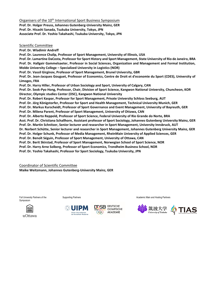Organisers of the 10<sup>th</sup> International Sport Business Symposium **Prof. Dr. Holger Preuss, Johannes Gutenberg-University Mainz, GER Prof. Dr. Hisashi Sanada, Tsukuba University, Tokyo, JPN Associate Prof. Dr. Yoshio Takahashi, Tsukuba University, Tokyo, JPN** 

Scientific Committee

**Prof. Dr. Wladimir Andreff Prof. Dr. Laurence Chalip, Professor of Sport Management, University of Illinois, USA Prof. Dr. Lamartine DaCosta, Professor for Sport History and Sport Management, State University of Rio de Janeiro, BRA Prof. Dr. Hallgeir Gammelsaeter, Professor in Social Sciences, Organization and Management and Formal Institution, Molde University College – Specialized University in Logistics (NOR) Prof. Dr. Vassil Girginov, Professor of Sport Management, Brunel University, GBR Prof. Dr. Jean-Jacques Gouguet, Professor of Economics, Centre de Droit et d'economie du Sport (CDES), University of Limoges, FRA Prof. Dr. Harry Hiller, Professor of Urban Sociology and Sport, University of Calgary, CAN Prof. Dr. Seok-Pyo Hong, Professor, Chair, Division of Sport Science, Kangwon National University, Chuncheon, KOR Director, Olympic studies Center (OSC), Kangwon National University Prof. Dr. Robert Kaspar, Professor for Sport Management, Private University Schloss Seeburg, AUT Prof. Dr. Jörg Königstorfer, Professor for Sport and Health Management, Technical University Munich, GER Prof. Dr. Markus Kurscheidt, Professor of Sport Governance and Event Management, University of Bayreuth, GER Prof. Dr. Milena Parent, Professor of Sport Management, University of Ottawa, CAN Prof. Dr. Alberto Reppold, Professor of Sport Science, Federal University of Rio Grande do Norte, BRA Asst. Prof. Dr. Christiana Schallhorn, Assistant professor of Sport Sociology, Johannes Gutenberg University Mainz, GER Prof. Dr. Martin Schnitzer, Senior lecturer and researcher in Sport Management, University Innsbruck, AUT Dr. Norbert Schütte, Senior lecturer and researcher in Sport Management, Johannes Gutenberg University Mainz, GER Prof. Dr. Holger Schunk, Professor of Media Management, RheinMain University of Applied Sciences, GER Prof. Dr. Benoît Séguin, Professor of Sport Management, University of Ottawa, CAN Prof. Dr. Berit Skirstad, Professor of Sport Management, Norwegian School of Sport Science, NOR Prof. Dr. Harry Arne Solberg, Professor of Sport Economics, Trondheim Business School, NOR Prof. Dr. Yoshio Takahashi, Professor for Sport Sociology, Tsukuba University, JPN**

Coordinator of Scientific Committee

**Maike Weitzmann, Johannes Gutenberg-University Mainz, GER**

Full University Partners of the **Symposium** 





**DEUTSCHE OLYMPISCHE** AKADEMIE

Supporting Partners **Academic Main and Hosting Partners** Academic Main and Hosting Partners

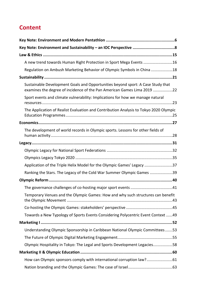# **Content**

| A new trend towards Human Right Protection in Sport Mega Events 16                                                                                         |
|------------------------------------------------------------------------------------------------------------------------------------------------------------|
| Regulation on Ambush Marketing Behavior of Olympic Symbols in China 18                                                                                     |
|                                                                                                                                                            |
| Sustainable Development Goals and Opportunities beyond sport: A Case Study that<br>examines the degree of incidence of the Pan American Games Lima 2019 22 |
| Sport events and climate vulnerability: Implications for how we manage natural                                                                             |
| The Application of Realist Evaluation and Contribution Analysis to Tokyo 2020 Olympic                                                                      |
|                                                                                                                                                            |
| The development of world records in Olympic sports. Lessons for other fields of                                                                            |
|                                                                                                                                                            |
|                                                                                                                                                            |
|                                                                                                                                                            |
| Application of the Triple Helix Model for the Olympic Games' Legacy 37                                                                                     |
| Ranking the Stars. The Legacy of the Cold War Summer Olympic Games 39                                                                                      |
|                                                                                                                                                            |
|                                                                                                                                                            |
| Temporary Venues and the Olympic Games: How and why such structures can benefit                                                                            |
|                                                                                                                                                            |
| Towards a New Typology of Sports Events Considering Polycentric Event Context 49                                                                           |
|                                                                                                                                                            |
| Understanding Olympic Sponsorship in Caribbean National Olympic Committees53                                                                               |
|                                                                                                                                                            |
| Olympic Hospitality in Tokyo: The Legal and Sports Development Legacies58                                                                                  |
|                                                                                                                                                            |
| How can Olympic sponsors comply with international corruption law?61                                                                                       |
|                                                                                                                                                            |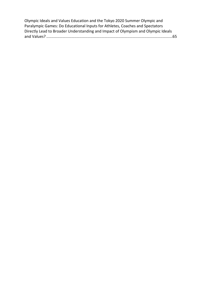[Olympic Ideals and Values Education and the Tokyo 2020 Summer Olympic and](#page-64-0)  [Paralympic Games: Do Educational Inputs for Athletes, Coaches and Spectators](#page-64-0)  [Directly Lead to Broader Understanding and Impact of Olympism and Olympic Ideals](#page-64-0)  and Values? [.....................................................................................................................65](#page-64-0)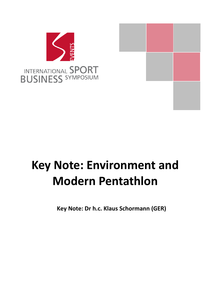

# <span id="page-5-0"></span>**Key Note: Environment and Modern Pentathlon**

**Key Note: Dr h.c. Klaus Schormann (GER)**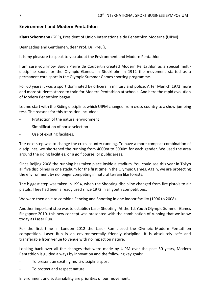# **Environment and Modern Pentathlon**

### **Klaus Schormann** (GER), President of Union Internationale de Pentathlon Moderne (UIPM)

Dear Ladies and Gentlemen, dear Prof. Dr. Preuß,

It is my pleasure to speak to you about the Environment and Modern Pentathlon.

I am sure you know Baron Pierre de Coubertin created Modern Pentathlon as a special multidiscipline sport for the Olympic Games. In Stockholm in 1912 the movement started as a permanent core sport in the Olympic Summer Games sporting programme.

For 60 years it was a sport dominated by officers in military and police. After Munich 1972 more and more students stared to train for Modern Pentathlon at schools. And here the rapid evolution of Modern Pentathlon began.

Let me start with the Riding discipline, which UIPM changed from cross-country to a show-jumping test. The reasons for this transition included:

- Protection of the natural environment
- Simplification of horse selection
- Use of existing facilities.

The next step was to change the cross-country running. To have a more compact combination of disciplines, we shortened the running from 4000m to 3000m for each gender. We used the area around the riding facilities, or a golf course, or public areas.

Since Beijing 2008 the running has taken place inside a stadium. You could see this year in Tokyo all five disciplines in one stadium for the first time in the Olympic Games. Again, we are protecting the environment by no longer competing in natural terrain like forests.

The biggest step was taken in 1994, when the Shooting discipline changed from fire pistols to air pistols. They had been already used since 1972 in all youth competitions.

We were then able to combine Fencing and Shooting in one indoor facility (1996 to 2008).

Another important step was to establish Laser Shooting. At the 1st Youth Olympic Summer Games Singapore 2010, this new concept was presented with the combination of running that we know today as Laser Run.

For the first time in London 2012 the Laser Run closed the Olympic Modern Pentathlon competition. Laser Run is an environmentally friendly discipline. It is absolutely safe and transferable from venue to venue with no impact on nature.

Looking back over all the changes that were made by UIPM over the past 30 years, Modern Pentathlon is guided always by innovation and the following key goals:

- To present an exciting multi-discipline sport
- To protect and respect nature.

Environment and sustainability are priorities of our movement.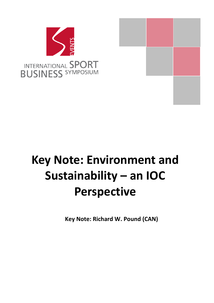

# <span id="page-7-0"></span>**Key Note: Environment and Sustainability – an IOC Perspective**

**Key Note: Richard W. Pound (CAN)**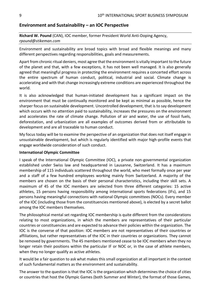# **Environment and Sustainability – an IOC Perspective**

# **Richard W. Pound** (CAN), IOC member, former President World Anti-Doping Agency, *rpound@stikeman.com*

Environment and sustainability are broad topics with broad and flexible meanings and many different perspectives regarding responsibilities, goals and measurements.

Apart from chronic ritual deniers, most agree that the environment is vitally important to the future of the planet and that, with a few exceptions, it has not been well managed. It is also generally agreed that meaningful progress in protecting the environment requires a concerted effort across the entire spectrum of human conduct, political, industrial and social. Climate change is accelerating and with that change increasingly extreme conditions are experienced throughout the world.

It is also acknowledged that human-initiated development has a significant impact on the environment that must be continually monitored and be kept as minimal as possible, hence the sharper focus on sustainable development. Uncontrolled development, that is to say development which occurs with no attention paid to sustainability, increases the pressures on the environment and accelerates the rate of climate change. Pollution of air and water, the use of fossil fuels, deforestation, and urbanization are all examples of outcomes derived from or attributable to development and are all traceable to human conduct.

My focus today will be to examine the perspective of an organization that does not itself engage in unsustainable development, but which is regularly identified with major high-profile events that engage worldwide consideration of such conduct.

### **International Olympic Committee**

I speak of the International Olympic Committee (IOC), a private non-governmental organization established under Swiss law and headquartered in Lausanne, Switzerland. It has a maximum membership of 115 individuals scattered throughout the world, who meet formally once per year and a staff of a few hundred employees working mainly from Switzerland. A majority of the members are chosen on the basis of their personal characteristics, including their skill sets. A maximum of 45 of the IOC members are selected from three different categories: 15 active athletes, 15 persons having responsibility among international sports federations (IFs), and 15 persons having meaningful connections with national Olympic committees (NOCs). Every member of the IOC (including those from the constituencies mentioned above), is elected by a secret ballot among the IOC members themselves.

The philosophical mental set regarding IOC membership is quite different from the considerations relating to most organizations, in which the members are representatives of their particular countries or constituencies and are expected to advance their policies within the organization. The IOC is the converse of that position: IOC members are not representatives of their countries or affiliations, but rather representatives of the IOC in their countries or organizations. They cannot be removed by governments. The 45 members mentioned cease to be IOC members when they no longer retain their positions within the particular IF or NOC or, in the case of athlete members, when they no longer qualify as active athletes.

It would be a fair question to ask what makes this small organization at all important in the context of such fundamental matters as the environment and sustainability.

The answer to the question is that the IOC is the organization which determines the choice of cities or countries that host the Olympic Games (both Summer and Winter), the format of those Games,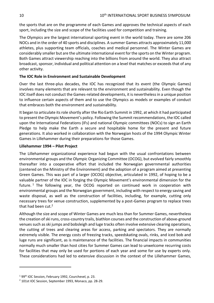the sports that are on the programme of each Games and approves the technical aspects of each sport, including the size and scope of the facilities used for competition and training.

The Olympics are the largest international sporting event in the world today. There are some 206 NOCs and in the order of 40 sports and disciplines. A summer Games attracts approximately 11,000 athletes, plus supporting team officials, coaches and medical personnel. The Winter Games are considerably smaller but are the ultimate international event for the sports on the Winter program. Both Games attract viewership reaching into the billions from around the world. They also attract broadcast, sponsor, individual and political attention on a level that matches or exceeds that of any other activity.

# **The IOC Role in Environment and Sustainable Development**

Over the last three-plus decades, the IOC has recognized that its event (the Olympic Games) involves many elements that are relevant to the environment and sustainability. Even though the IOC itself does not conduct the Games-related developments, it is nevertheless in a unique position to influence certain aspects of them and to use the Olympics as models or examples of conduct that embraces both the environment and sustainability.

It began to articulate its role shortly after the Rio Earth Summit in 1992, at which it had participated to present the Olympic Movement's policy. Following the Summit recommendations, the IOC called upon the International Federations (IFs) and national Olympic committees (NOCs) to sign an Earth Pledge to help make the Earth a secure and hospitable home for the present and future generations. It also worked in collaboration with the Norwegian hosts of the 1994 Olympic Winter Games in Lillehammer during their preparations for those Games.

# **Lillehammer 1994 – Pilot Project**

The Lillehammer organizational experience had begun with the usual confrontations between environmental groups and the Olympic Organizing Committee (OCOG), but evolved fairly smoothly thereafter into a cooperative effort that included the Norwegian governmental authorities (centered on the Ministry of the Environment) and the adoption of a program aimed at presenting Green Games. This was part of a larger (OCOG) objective, articulated in 1992, of hoping to be a valuable partner of the IOC in forging the Olympic Movement's environmental dimension for the future. <sup>1</sup> The following year, the OCOG reported on continued work in cooperation with environmental groups and the Norwegian government, including with respect to energy saving and waste disposal, as well as the construction of facilities, including, for example, cutting only necessary trees for venue construction, supplemented by a post-Games program to replace trees that had been cut.<sup>2</sup>

Although the size and scope of Winter Games are much less than for Summer Games, nevertheless the creation of ski runs, cross-country trails, biathlon courses and the construction of above-ground venues such as ski jumps and bobsleigh and luge tracks often involve extensive clearing operations, the cutting of trees and clearing areas for access, parking and spectators. They are normally extremely visible. The energy costs of freezing tracks, speedskating ovals, rinks, and iced bob and luge runs are significant, as is maintenance of the facilities. The financial impacts in communities normally much smaller than host cities for Summer Games can lead to unwelcome recurring costs for facilities that may only be used for portions of each year and some for use by experts only. These considerations had led to extensive discussion in the context of the Lillehammer Games,

<sup>&</sup>lt;sup>1</sup> 99<sup>th</sup> IOC Session, February 1992, Courchevel, p. 23.

<sup>2</sup> 101st IOC Session, September 1993, Monaco, pp. 28-29.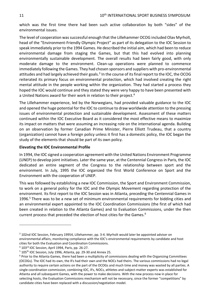which was the first time there had been such active collaboration by both "sides" of the environmental issues.

The level of cooperation was successful enough that the Lillehammer OCOG included Olav Myrholt, head of the "Environment-Friendly Olympic Project" as part of its delegation to the IOC Session to speak immediately prior to the 1994 Games. He described the initial aim, which had been to reduce environmental damage from staging the Games, but that this had evolved into planning environmentally sustainable development. The overall results had been fairly good, with only moderate damage to the environment. Clean-up operations were planned to commence immediately following the Games. They had chosen sponsors and suppliers with pro-environmental attitudes and had largely achieved their goals.<sup>3</sup> In the course of its final report to the IOC, the OCOG reiterated its primary focus on environmental protection, which had involved creating the right mental attitude in the people working within the organization. They had started a process they hoped the IOC would continue and they stated they were very happy to have been presented with a United Nations award for their work in relation to their project.<sup>4</sup>

The Lillehammer experience, led by the Norwegians, had provided valuable guidance to the IOC and opened the huge potential for the IOC to continue to draw worldwide attention to the pressing issues of environmental protection and sustainable development. Assessment of these matters continued within the IOC Executive Board as it considered the most effective means to maximize its impact on matters that were assuming an increasing role on the international agenda. Building on an observation by former Canadian Prime Minister, Pierre Elliott Trudeau, that a country (organization) cannot have a foreign policy unless it first has a domestic policy, the IOC began the study of the elements that should be part of its own policy.

## **Elevating the IOC Environmental Profile**

In 1994, the IOC signed a cooperation agreement with the United Nations Environment Programme (UNEP) to develop joint initiatives. Later the same year, at the Centennial Congress in Paris, the IOC dedicated an entire segment of the Congress to the relationship between sport and the environment. In July, 1995 the IOC organized the first World Conference on Sport and the Environment with the cooperation of UNEP.

This was followed by establishing a new IOC Commission, the Sport and Environment Commission, to work on a general policy for the IOC and the Olympic Movement regarding protection of the environment. Its first report to the IOC Session was in Atlanta, preceding the Centennial Games in 1996.<sup>5</sup> There was to be a new set of minimum environmental requirements for bidding cities and an environmental expert appointed to the IOC Coordination Commissions (the first of which had been created in relation to the Atlanta Games) and to Evaluation Commissions, under the then current process that preceded the election of host cities for the Games.<sup>6</sup>

<sup>3</sup> 102nd IOC Session, February 19954, Lillehammer, pp. 3-4. Myrholt would later be appointed adviser on environmental affairs, monitoring compliance with the IOC's environmental requirements by candidate and host cities for both the Evaluation and Coordination Commissions.

<sup>4</sup> 103rd IOC Session, April 1994, Paris, pp. 26-27.

<sup>&</sup>lt;sup>5</sup> 105<sup>th</sup> IOC Session, July 1996, Atlanta, pp. 29-30 and Annex 25.

 $6$  Prior to the Atlanta Games, there had been a multiplicity of commissions dealing with the Organizing Committees (OCOGs). The IOC had its own, the IFs had their own and the NOCs had theirs. The various commissions had no legal authority to require certain actions on the part of the OCOGs and much time and money was wasted by all parties. A single coordination commission, combining IOC, IFs, NOCs, athletes and subject-matter experts was established for Atlanta and all subsequent Games, with the power to make decisions. With the new process now in place for selecting hosts, the Evaluation Commissions mechanism will not be necessary, since the former "competitions" by candidate cities have been replaced with a discussion/negotiation model.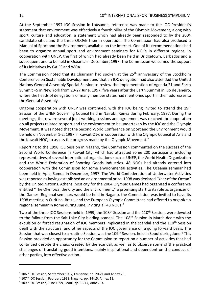At the September 1997 IOC Session in Lausanne, reference was made to the IOC President's statement that environment was effectively a fourth pillar of the Olympic Movement, along with sport, culture and education, a statement which had already been responded to by the 2004 candidate cities and the three OCOGs then in operation. The Commission had also produced a Manual of Sport and the Environment, available on the Internet. One of its recommendations had been to organize annual sport and environment seminars for NOCs in different regions, in cooperation with UNEP, the first of which had already been held in Bridgetown, Barbados and a subsequent one to be held in Oceania in December, 1997. The Commission welcomed the support of its initiatives by GAIFS and WOA.

The Commission noted that its Chairman had spoken at the 25<sup>th</sup> anniversary of the Stockholm Conference on Sustainable Development and that an IOC delegation had also attended the United Nations General Assembly Special Session to review the implementation of Agenda 21 and Earth Summit +5 in New York from 23-27 June, 1997, five years after the Earth Summit in Rio de Janeiro, where the heads of delegations of many member states had mentioned sport in their addresses to the General Assembly.

Ongoing cooperation with UNEP was continued, with the IOC being invited to attend the  $19<sup>th</sup>$ Session of the UNEP Governing Council held in Nairobi, Kenya during February, 1997. During the meetings, there were several joint working sessions and agreement was reached for cooperation on all projects related to sport and the environment to be undertaken by the IOC and the Olympic Movement. It was noted that the Second World Conference on Sport and the Environment would be held on November 1-2, 1997 in Kuwait City, in cooperation with the Olympic Council of Asia and the Kuwait NOC, to assess the progress made by the Olympic Movement.<sup>7</sup>

Reporting to the 1998 IOC Session in Nagano, the Commission commented on the success of the Second World Conference in Kuwait City, which had attracted some 200 participants, including representatives of several international organizations such as UNEP, the World Health Organization and the World Federation of Sporting Goods Industries. 48 NOCs had already entered into cooperation with the Commission for some environmental activities. The Oceania seminar had been held in Apia, Samoa in December, 1997. The World Confederation of Underwater Activities was reported as having established an environmental prize. 1998 was declared "Year of the Ocean" by the United Nations. Athens, host city for the 2004 Olympic Games had organized a conference entitled "The Olympics, the City and the Environment," a promising start to its role as organizer of the Games. Regional seminars would be held in Nagano, the Commission was invited to have its 1998 meeting in Curitiba, Brazil, and the European Olympic Committees had offered to organize a regional seminar in Rome during June, inviting all 48 NOCs.<sup>8</sup>

Two of the three IOC Sessions held in 1999, the 108<sup>th</sup> Session and the 110<sup>th</sup> Session, were devoted to the fallout from the Salt Lake City bidding scandal. The 108<sup>th</sup> Session in March dealt with the expulsion or forced resignation of IOC members implicated in the scandal and the 110<sup>th</sup> Session dealt with the structural and other aspects of the IOC governance on a going forward basis. The Session that was closest to a routine Session was the 109<sup>th</sup> Session, held in Seoul during June.<sup>9</sup> This Session provided an opportunity for the Commission to report on a number of activities that had continued despite the chaos created by the scandal, as well as to observe some of the practical challenges of translating good intentions, mainly inspirational and dependent on the conduct of other parties, into effective action.

<sup>&</sup>lt;sup>7</sup> 106<sup>th</sup> IOC Session, September 1997, Lausanne, pp. 20-21 and Annex 25.

<sup>8 107&</sup>lt;sup>th</sup> IOC Session, February 1998, Nagano, pp. 14-15, Annex 11.

<sup>&</sup>lt;sup>9</sup> 109<sup>th</sup> IOC Session, June 1999, Seoul, pp. 16-17, Annex 14.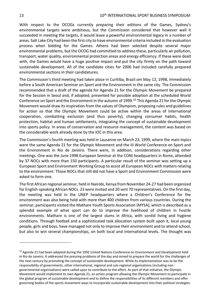With respect to the OCOGs currently preparing their editions of the Games, Sydney's environmental targets were ambitious, but the Commission considered that however well it succeeded in meeting the targets, it would leave a powerful environmental legacy in a number of areas. Salt Lake City had been the first city to have environmental criteria included in the evaluation process when bidding for the Games. Athens had been selected despite several major environmental problems, but the OCOG had committed to address these, particularly air pollution, transport, water quality, environmental protection areas and energy efficiency. If these were dealt with, the Games would have a huge positive impact and put the city firmly on the path toward sustainable development. All of the candidate cities for 2006 had included carefully prepared environmental sections in their candidatures.

The Commission's third meeting had taken place in Curitiba, Brazil om May 12, 1998, immediately before a South American Seminar on Sport and the Environment in the same city. The Commission recommended that a draft of the agenda for Agenda 21 for the Olympic Movement be prepared for the Session in Seoul and, if adopted, presented for possible adoption at the scheduled World Conference on Sport and the Environment in the autumn of 1999.<sup>10</sup> This Agenda 21 for the Olympic Movement would draw its inspiration from the values of Olympism, proposing rules and guidelines for action so that the Olympic Movement could be active within the areas of international cooperation, combatting exclusion (and thus poverty), changing consumer habits, health protection, habitat and human settlements, integrating the concept of sustainable development into sports policy. In areas of conservation and resource management, the content was based on the considerable work already done by the IOC in this area.

The Commission's fourth meeting was held in Lausanne on March 23, 1999, where the main topics were the same Agenda 21 for the Olympic Movement and the III World Conference on Sport and the Environment in Rio de Janeiro. There were, in addition, considerations regarding other meetings. One was the June 1998 European Seminar at the CONI headquarters in Rome, attended by 37 NOCs with more than 150 participants. A particular result of the seminar was setting up a European Sport and Environment Working Group to assist all European NOCs with matters relating to the environment. Those NOCs that still did not have a Sport and Environment Commission were asked to form one.

The first African regional seminar, held in Nairobi, Kenya from November 24-27 had been organized for English-speaking African NOCs. 23 were invited and 20 sent 70 representatives. On the first day, the meeting was held in the UNEP headquarters where a Children's Conference for the environment was also being held with more than 400 children from various countries. During the seminar, participants visited the Mathare Youth Sports Association (MYSA), which is described as a splendid example of what sport can do to improve the livelihood of children in hostile environments. Mathare is one of the largest slums in Africa, with sordid living and hygiene conditions. Through football and a sophisticated task allocation system built upon it, local young people, girls and boys, have managed not only to improve their environment and to attend school, but also to win several championships, on both local and international levels. The thought was

<sup>10</sup> Agenda 21 had been adopted during the 1992 United Nations Conference on Environment and Development held in Rio de Janeiro. It addressed the pressing problems of the day and aimed to prepare the world for the challenges of the next century by promoting the concept of sustainable development. While its implementation was to be the responsibility of governments, other international, regional and sub-regional organizations (including nongovernmental organizations) were called upon to contribute to the effort. As part of that initiative, the Olympic Movement would implement its own Agenda 21, an action program allowing the Olympic Movement to participate in the global program of sustainable development and to define the responsibilities of its different members and offer governing bodies of the sports movement ways to incorporate sustainable development into their political strategies.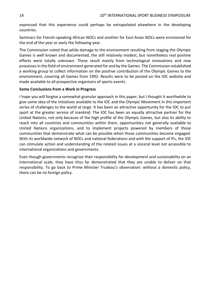expressed that this experience could perhaps be extrapolated elsewhere in the developing countries.

Seminars for French-speaking African NOCs and another for East-Asian NOCs were envisioned for the end of the year or early the following year.

The Commission noted that while damage to the environment resulting from staging the Olympic Games is well known and documented, the still relatively modest, but nonetheless real positive effects were totally unknown. These result mainly from technological innovations and new processes in the field of environment generated for and by the Games. The Commission established a working group to collect information on the positive contribution of the Olympic Games to the environment, covering all Games from 1992. Results were to be posted on the IOC website and made available to all prospective organizers of sports events.

## **Some Conclusions from a Work in Progress**

I hope you will forgive a somewhat granular approach in this paper, but I thought it worthwhile to give some idea of the initiatives available to the IOC and the Olympic Movement in this important series of challenges to the world at large. It has been an attractive opportunity for the IOC to put sport at the greater service of mankind. The IOC has been an equally attractive partner for the United Nations, not only because of the high profile of the Olympic Games, but also its ability to reach into all countries and communities within them, opportunities not generally available to United Nations organizations, and to implement projects powered by members of those communities that demonstrate what can be possible when those communities become engaged. With its worldwide network of NOCs and national federations and with the support of IFs, the IOC can stimulate action and understanding of the related issues at a visceral level not accessible to international organizations and governments.

Even though governments recognize their responsibility for development and sustainability on an international scale, they have thus far demonstrated that they are unable to deliver on that responsibility. To go back to Prime Minister Trudeau's observation: without a domestic policy, there can be no foreign policy.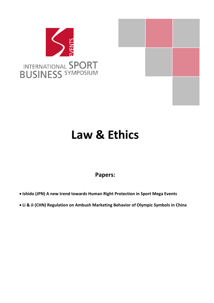



# <span id="page-14-0"></span>**Law & Ethics**

# **Papers:**

- **Ishido (JPN) A new trend towards Human Right Protection in Sport Mega Events**
- **Li & Ji (CHN) Regulation on Ambush Marketing Behavior of Olympic Symbols in China**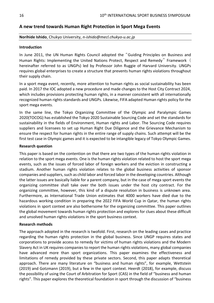# <span id="page-15-0"></span>**A new trend towards Human Right Protection in Sport Mega Events**

#### **Norihide Ishido**, Chukyo University, *n-ishido@mecl.chukyo-u.ac.jp*

#### **Introduction**

In June 2011, the UN Human Rights Council adopted the "Guiding Principles on Business and Human Rights: Implementing the United Nations Protect, Respect and Remedy" Framework ( hereinafter referred to as UNGPs) led by Professor John Ruggie of Harvard University. UNGPs requires global enterprises to create a structure that prevents human rights violations throughout their supply chain.

In a sport mega event, recently, more attention to human rights as social sustainability has been paid. In 2017 the IOC adopted a new procedure and made changes to the Host City Contract 2024, which includes provisions protecting human rights, in a manner consistent with all internationally recognized human rights standards and UNGPs. Likewise, FIFA adapted Human rights policy for the sport mega events.

In the same line, the Tokyo Organizing Committee of the Olympic and Paralympic Games 2020(TOCOG) has established the Tokyo 2020 Sustainable Sourcing Code and set the standards for sustainability in the fields of Environment, Human rights and Labor. The Sourcing Code requires suppliers and licensees to set up Human Right Due Diligence and the Grievance Mechanism to ensure the respect for human rights in the entire range of supply chains. Such attempt will be the first test case in Olympic games and it is expected to be intangible legacy of Tokyo Olympic Games.

#### **Research question**

This paper is based on the contention on that there are two types of the human rights violation in relation to the sport mega events. One is the human rights violation related to host the sport mega events, such as the issues of forced labor of foreign workers and the eviction in constructing a stadium. Another human rights violation relates to the global business activities of sponsor companies and suppliers, such as child labor and forced labor in the developing countries. Although the latter issues are basically liable for a parent company, but in the case of mega sport events the organizing committee shall take over the both issues under the host city contract. For the organizing committee, however, this kind of a dispute resolution in business is unknown area. Furthermore, as International Trade Union estimates that 4000 workers have died due to the hazardous working condition in preparing the 2022 FIFA World Cup in Qatar, the human rights violations in sport context are also bothersome for the organizing committee. This paper outlines the global movement towards human rights protection and explores for clues about these difficult and unsolved human rights violations in the sport business context.

#### **Research methods**

The approach adopted in the research is twofold. First, research on the leading cases and practice regarding the human rights protection in the global business. Since UNGP requires states and corporations to provide access to remedy for victims of human rights violations and the Modern Slavery Act in UK requires companies to report the human rights violations, many global companies have advanced more than sport organizations. This paper examines the effectiveness and limitations of remedy provided by these private sectors. Second, this paper adapts theoretical approach. There are many literature on "business and human rights", for example, Wettstein (2019) and Gotzmann (2019), but a few in the sport context. Heerdt (2018), for example, discuss the possibility of using the Court of Arbitration for Sport (CAS) in the field of "business and human rights". This paper explores the theoretical foundation in sport through the discussion of "business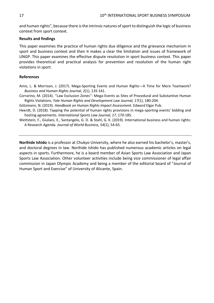and human rights", because there is the intrinsic natures of sport to distinguish the logic of business context from sport context.

## **Results and findings**

This paper examines the practice of human rights due diligence and the grievance mechanism in sport and business context and then it makes a clear the limitation and issues of framework of UNGP. This paper examines the effective dispute resolution in sport business context. This paper provides theoretical and practical analysis for prevention and resolution of the human right violations in sport.

## **References**

- Amis, L. & Morrison, J. (2017). Mega-Sporting Events and Human Rights—A Time for More Teamwork? *Business and Human Rights Journal, 2*(1), *135*-141.
- Corrarino, M. (2014). ''Law Exclusion Zones'': Mega-Events as Sites of Procedural and Substantive Human Rights Violations. *Yale Human Rights and Development Law Journal, 17*(1), 180-204.

Götzmann, N. (2019). *Handbook on Human Rights Impact Assessment.* Edward Elgar Pub.

Heerdt, D. (2018). Tapping the potential of human rights provisions in mega-sporting events' bidding and hosting agreements. *International Sports Law Journal, 17*, 170-185.

Wettstein, F., Giuliani, E., Santangelo, G. D. & Stahl, G. K. (2019). International business and human rights: A Research Agenda. *Journal of World Business, 54*(1), 54-65.

**Norihide Ishido** is a professor at Chukyo University, where he also earned his bachelor's, master's, and doctoral degrees in law. Norihide Ishido has published numerous academic articles on legal aspects in sports. Furthermore, he is a board member of Asian Sports Law Association and Japan Sports Law Association. Other volunteer activities include being vice commissioner of legal affair commission in Japan Olympic Academy and being a member of the editorial board of "Journal of Human Sport and Exercise" of University of Alicante, Spain.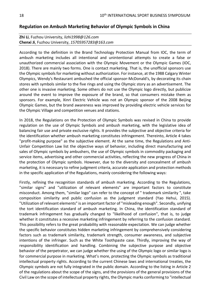# <span id="page-17-0"></span>**Regulation on Ambush Marketing Behavior of Olympic Symbols in China**

# **Zhi Li**, Fuzhou University, *lizhi1998@126.com* **Chenxi Ji**, Fuzhou University, *15705957283@163.com*

According to the definition in the Brand Technology Protection Manual from IOC, the term of ambush marketing includes all intentional and unintentional attempts to create a false or unauthorized commercial association with the Olympic Movement or the Olympic Games (IOC, 2018). There are mainly two forms. One is contact marketing. That is, the unofficial sponsors use the Olympic symbols for marketing without authorization. For instance, at the 1988 Calgary Winter Olympics, Wendy's Restaurant ambushed the official sponsor-McDonald's, by decorating its chain stores with symbols similar to the five rings and using the Olympic story as an advertisement. The other one is invasive marketing. Some others do not use the Olympic logo directly, but publicize around the event to improve the exposure of the brand, so that consumers mistake them as sponsors. For example, Xinri Electric Vehicle was not an Olympic sponsor of the 2008 Beijing Olympic Games, but the brand awareness was improved by providing electric vehicle services for the Olympic Village and competition venues and stations.

In 2018, the Regulations on the Protection of Olympic Symbols was revised in China to provide regulation on the use of Olympic Symbols and ambush marketing, with the legislative idea of balancing fair use and private exclusive rights. It provides the subjective and objective criteria for the identification whether ambush marketing constitutes infringement. Thereinto, Article 4 takes "profit-making purpose" as the subjective element. At the same time, the Regulations and Anti-Unfair Competition Law list the objective ways of behavior, including direct manufacturing and sales of Olympic symbols by ambushers, the use of Olympic symbols in commodity packaging and service items, advertising and other commercial activities, reflecting the new progress of China in the protection of Olympic symbols. However, due to the diversity and concealment of ambush marketing, it is necessary to refine judgment criteria, accurate application and protection methods in the specific application of the Regulations, mainly considering the following ways:

Firstly, refining the recognition standards of ambush marketing. According to the Regulations, "similar signs" and "utilization of relevant elements" are important factors to constitute misconduct. Among them, "similar logo" can refer to the concept of " trademark similarity ", take composition similarity and public confusion as the judgment standard (Yao Hehui, 2015). "Utilization of relevant elements" is an important factor of "misleading enough". Secondly, unifying the tort identification standard of ambush marketing. In China, the identification standard of trademark infringement has gradually changed to "likelihood of confusion", that is, to judge whether it constitutes a recessive marketing infringement by referring to the confusion standard. This possibility refers to the great probability with reasonable expectation. We can judge whether the specific behavior constitutes hidden marketing infringement by comprehensively considering factors such as trademark similarity, trademark strength, consumer awareness, and subjective intentions of the infringer. Such as the White Toothpaste case. Thirdly, improving the way of responsibility identification and handling. Combining the subjective purpose and objective behavior of the perpetrator, we can judge whether the using of the Olympic logo or similar logo is for commercial purpose in marketing. What's more, protecting the Olympic symbols as traditional intellectual property rights. According to the current Chinese laws and international treaties, the Olympic symbols are not fully integrated in the public domain. According to the listing in Article 2 of the regulations about the scope of the signs, and the provisions of the general provisions of the Civil Law on the scope of intellectual property rights, the Olympic marks conforming to "intellectual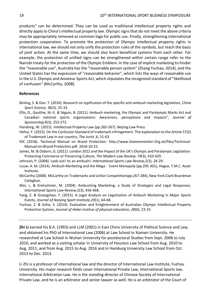products" can be determined. They can be used as traditional intellectual property rights and directly apply to China's intellectual property law. Olympic signs that do not meet the above criteria may be appropriately removed as common logo for public use. Finally, strengthening international protection cooperation. To promote the protection of Olympic intellectual property rights in international law, we should not only unify the protection rules of the symbols, but reach the basis of joint action. At the same time, we should also learn beneficial systems from each other. For example, the protection of unified signs can be strengthened within certain range refer to the Nairobi treaty for the protection of the Olympic Emblem. In the case of implicit marketing to hinder the "reasonable use", Australia has the "reasonable person system" (Zhang Yuchao, 2014), and the United States has the expression of "reasonable behavior", which lists the ways of reasonable use in the U.S. Olympic and Amateur Sports Act, which stipulates the recognized standard of "likelihood of confusion" (McCarthy, 2008).

## **References**

- Ellis, D., Gauthie, M.-E. & Séguin, B. (2011). Ambush marketing, the Olympic and Paralympic Marks Act and Canadian national sports organisations: Awareness, perceptions and impacts", *Journal of Sponsorship,*4(3), 253-272.
- Handong, W. (2015). Intellectual Property Law (pp.265-267). Beijing:Law Press.
- Hehui, Y. (2015). On the Confusion Standard of trademark infringement: The explanation to the Article 57(2) of Trademark Law in our country, *The Jurist ,6*, 51-63.
- IOC (2018). Technical Manual on Brand Protection. http://www.Gamesmonitor.Org.uk/files/Technical-Manual-on-Brand-Protection.pdf. 2018-10-22.
- James, M. & Osborn, G. (2011). London 2012 and the Impact of the UK's Olympic and Paralympic Legislation: Protecting Commerce or Preserving Culture, *The Modern Law Review, 74*(3), 410-429.
- Johnson, P. (2008). Look out! Its an ambush!. *International Sports Law Review,2*(3), 24-29.
- Louw, A. M. (2014). Ambush Marketing and the Mega-Event Monopoly (pp.295-301), Hague, T.M.C. Asser Institute.
- McCarthy (2008). McCarthy on Trademarks and Unfair Competition(pp.267-284), New York:Clark Boardman Callaghan.
- Wei, L. & Kretschmer, M. (2004). Ambushing Marketing: a Study of Strategies and Legal Responses, *International Sports Law Review,5*(3), 456-468.
- Yang, Z. & Guangzhao, Y. (2015). A Legal Analysis on Legalization of Ambush Marketing in Major Sports Events, *Journal of Nanjing Sport Institute,29*(1), 64-68.
- Yuchao, Z. & Sizhe, S. (2014). Evaluation and Enlightenment of Australian Olympic Intellectual Property Protection System, *Journal of Hebei institue of physical education, 28*(6), 23-25.

**Zhi Li** earned his B.A. (1993) and LLM (2001) in East China University of Political Science and Law, and obtained his PhD of International Law (2006) at Law School in Xiamen University. He researched at Law School in Wuhan University for postdoctoral Studies from Sept. 2008 to July 2010, and worked as a visiting scholar in University of Houston Law School from Aug. 2010 to Aug. 2011, and from Aug. 2015 to Aug. 2016 and in Hamburg University Law School from Oct. 2013 to Dec. 2013.

Li Zhi is a professor of international law and the director of International Law Institute, Fuzhou University. His major research fields cover International Private Law, International Sports law, International Arbitration Law. He is the standing director of Chinese Society of International Private Law, and he is an arbitrator and senior lawyer as well. He is an arbitrator of the Court of

Binling, S. & Dan. T. (2016). Research on typification of the specific anti-ambush marketing legislation, *China Sport Science, 36*(3), 25-33.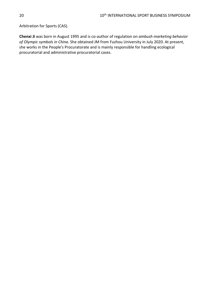Arbitration for Sports (CAS).

**Chenxi Ji** was born in August 1995 and is co-author of regulation on *ambush marketing behavior of Olympic symbols in China*. She obtained JM from Fuzhou University in July 2020. At present, she works in the People's Procuratorate and is mainly responsible for handling ecological procuratorial and administrative procuratorial cases.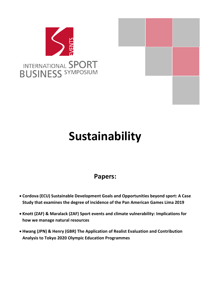



# <span id="page-20-0"></span>**Sustainability**

# **Papers:**

- **Cordova (ECU) Sustainable Development Goals and Opportunities beyond sport: A Case Study that examines the degree of incidence of the Pan American Games Lima 2019**
- **Knott (ZAF) & Maralack (ZAF) Sport events and climate vulnerability: Implications for how we manage natural resources**
- **Hwang (JPN) & Henry (GBR) The Application of Realist Evaluation and Contribution Analysis to Tokyo 2020 Olympic Education Programmes**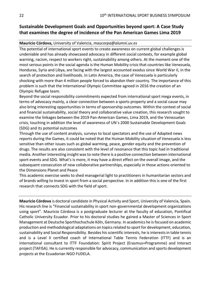# <span id="page-21-0"></span>**Sustainable Development Goals and Opportunities beyond sport: A Case Study that examines the degree of incidence of the Pan American Games Lima 2019**

### **Mauricio Córdova,** University of Valencia, *maucorpa@alumni.uv.es*

The potential of international sport events to create awareness on current global challenges is undeniable and has already showcased advocacy in different social contexts, for example global warning, racism, respect to workers right, sustainability among others. At the moment one of the most serious points in the social agenda is the Human Mobility crisis that countries like Venezuela, Honduras, Syria and Libya, are facing with the largest accounted exodus since World War II, in the search of protection and livelihoods. In Latin America, the case of Venezuela is particularly shocking with more than 4 million people forced to abandon their country. The importance of this problem is such that the International Olympic Committee agreed in 2016 the creation of an Olympic Refugee team.

Beyond the social responsibility commitments expected from international sport mega events, in terms of advocacy mainly, a clear connection between a sports property and a social cause may also bring interesting opportunities in terms of sponsorship outcomes. Within the context of social and financial sustainability, social theory and collaborative value creation, this research sought to examine the linkages between the 2019 Pan-American Games, Lima 2019, and the Venezuelan crisis, touching in addition the level of awareness of UN´s 2000 Sustainable Development Goals (SDG) and its potential outcomes

Through the use of content analysis, surveys to local spectators and the use of Adapted news reports during the Games, it could be noted that the Human Mobility situation of Venezuela is less sensitive than other issues such as global warming, peace, gender equity and the prevention of drugs. The results are also consistent with the level of resonance that this topic had in traditional media. Another interesting insight was to note there is a positive connection between international sport events and SDG. What's is more, it may have a direct effect on the overall image, and the subsequent consecution of new collaborative partnerships, especially in those actions oriented to the Dimensions Planet and Peace

This academic exercise seeks to shed managerial light to practitioners in humanitarian sectors and of brands willing to invest in sport from a social perspective. In in addition this is one of the first research that connects SDG with the field of sport.

**Mauricio Córdova** is doctoral candidate in Physical Activity and Sport, University of Valencia, Spain. His research line is "Financial sustainability in sport non-governmental development organizations using sport". Mauricio Córdova is a postgraduate lecturer at the faculty of education, Pontifical Catholic University Ecuador. Prior to his doctoral studies he gained a Master of Sciences in Sport Management at Deutsche Sporthochschule Köln, Germany. In academics he is focused on academic production and methodological adaptations on topics related to sport for development, education, sustainability and Social Responsibility. Besides his scientific interests, he is interests in table tennis and is a Level II certified coach of International Table Tennis Federation (ITTF) and is an international consultant to ITTF Foundation: Spirit Project (Erasmus+Programme) and Interact project (TAFISA). He is currently responsible for advocacy, communication and sports development projects at the Ecuadorian NGO FUDELA.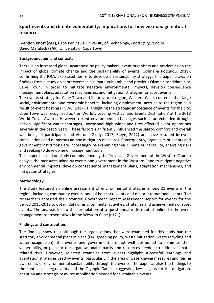# <span id="page-22-0"></span>**Sport events and climate vulnerability: Implications for how we manage natural resources**

**Brendon Knott (ZAF)**, Cape Peninsula University of Technology, *knottb@cput.ac.za* **David Maralack (ZAF)**, University of Cape Town

# **Background, aim and context:**

There is an increased global awareness by policy makers, event organisers and academics on the impact of global climate change and the sustainability of events (Collins & Potoglou, 2019), confirming the IOC's expressed desire to develop a sustainability strategy. This paper draws on findings from a study on sport events in a climate-vulnerable and previous Olympic candidate city, Cape Town, in order to mitigate negative environmental impacts, develop consequence management plans, adaptation mechanisms, and mitigation strategies for sport events.

The events strategy for Cape Town and its provincial region, Western Cape, contends that large social, environmental and economic benefits, including employment, accrues to the region as a result of event hosting (PGWC, 2017). Highlighting the strategic importance of events for the city, Cape Town was recognised as the 'World's Leading Festival and Events Destination' at the 2018 World Travel Awards. However, recent environmental challenges such as an extended drought period, significant water shortages, unseasonal high winds and fires affected event operations severely in the past 5 years. These factors significantly influenced the safety, comfort and overall well-being of participants and visitors (Giddy, 2017; Steyn, 2012) and have resulted in event cancellations and numerous ad hoc mitigation measures. Consequently, organisers of events and government institutions are increasingly re-examining their climate vulnerability, analysing risks and seeking to develop new management tools.

This paper is based on study commissioned by the Provincial Government of the Western Cape to analyse the measures taken by events and government in the Western Cape to mitigate negative environmental impacts, develop consequence management plans, adaptation mechanisms, and mitigation strategies.

# **Methodology:**

The study featured an online assessment of environmental strategies among 21 events in the region, including community events, annual hallmark events and major international events. The researchers accessed the Provincial Government Impact Assessment Report for events for the period 2015-2019 to obtain data of environmental activities, strategies and achievements of sport events. The analysis led to the formulation of a questionnaire distributed online to the event management representatives in the Western Cape (n=21).

## **Findings and contribution:**

The findings show that although the organisations that were examined for this study had the statutory environmental plans in place (EIA, greening policy, waste mitigation, waste recycling and water usage plan), the events and government are not well positioned to minimise their vulnerability, or plan for the organisational capacity and resources needed to address climaterelated risks. However, selected examples from events highlight successful learnings and adaptation strategies used by events, particularly in the area of water-saving measures and raising awareness of environmental sustainability through the events. The paper applies the findings to the context of mega-events and the Olympic Games, suggesting key insights for the mitigation, adaption and strategic resource mobilisation needed for sustainable events.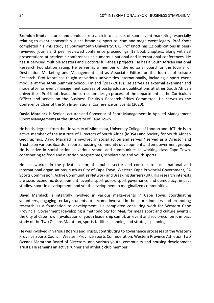**Brendon Knott** lectures and conducts research into aspects of sport event marketing, especially relating to event sponsorship, place branding, sport tourism and mega-event legacy. Prof Knott completed his PhD study at Bournemouth University, UK. Prof Knott has 12 publications in peerreviewed journals, 3 peer reviewed conference proceedings, 13 book chapters, along with 23 presentations at academic conferences at numerous national and international conferences. He has supervised multiple Masters and Doctoral full-thesis projects. He has a South African National Research Foundation rating. He serves as a member of the editorial board for the Journal of Destination Marketing and Management and as Associate Editor for the Journal of Leisure Research. Prof Knott has taught at various universities internationally, including a sport event module at the JAMK Summer School, Finland (2017-2019). He serves as external examiner and moderator for event management courses of postgraduate qualifications at other South African universities. Prof Knott leads the curriculum design process of the department as the Curriculum Officer and serves on the Business Faculty's Research Ethics Committee. He serves as the Conference Chair of the 5th International Conference on Events (2020).

**David Maralack** is Senior Lecturer and Convenor of Sport Management in Applied Management (Sport Management) at the University of Cape Town.

He holds degrees from the University of Minnesota, University College of London and UCT. He is an active member of the Institute of Directors of South Africa (IoDSA) and Society for South African Geographers. David Maralack is involved in social action and serves / served as a Director and Trustee on various Boards in sports, housing, community development and empowerment groups. He is active in social action in various school and communities in working class Cape Town, contributing to food and nutrition programmes, scholarships and youth sports.

He has worked in the private sector, the public sector and consults to local, national and international organisations, such as City of Cape Town, Western Cape Provincial Government, SA Sports Commission, Active Communities Network and Breaking Barriers (UK). His research interests are socio-economic development, events, sport policy, sport governance and democracy, impact studies, sport in development, and youth development in marginalized communities.

David Maralack is integrally involved in various mega-events in Cape Town, coordinating volunteers, engaging tertiary students to become involved in the sports industry and promoting research as a foundation to development. He completed consulting work for Western Cape Provincial Government (developing a methodology for M&E for mega sport and culture events); the City of Cape Town (evaluation of youth leadership camp), an event and socio-economic impact study of the Two Oceans Marathon, sports facilities planning and strategic planning.

He was involved in various Boards and Trusts, contributing to governance processes of the Western Province Sports Council, Western Province Sports Confederation, Western Province Athletics, Two Oceans Marathon Board of Directors, and various youth, community and housing development Trusts. He remains an active runner and athletic club member.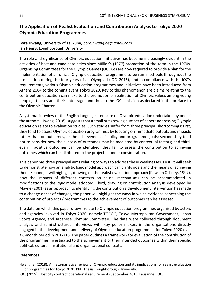# <span id="page-24-0"></span>**The Application of Realist Evaluation and Contribution Analysis to Tokyo 2020 Olympic Education Programmes**

# **Bora Hwang,** University of Tsukuba, *bora.hwang.oe@gmail.com* **Ian Henry**, Loughborough University

The role and significance of Olympic education initiatives has become increasingly evident in the activities of host and candidate cities since Müller's (1977) promotion of the term in the 1970s. Organising Committees for the Olympic Games (OCOGs) are now required to provide a plan for the implementation of an official Olympic education programme to be run in schools throughout the host nation during the four years of an Olympiad (IOC, 2015), and in compliance with the IOC's requirements, various Olympic education programmes and initiatives have been introduced from Athens 2004 to the coming event Tokyo 2020. Key to this phenomenon are claims relating to the contribution education can make to the promotion or realisation of Olympic values among young people, athletes and their entourage, and thus to the IOC's mission as declared in the preface to the Olympic Charter.

A systematic review of the English language literature on Olympic education undertaken by one of the authors (Hwang, 2018), suggests that a small but growing number of papers addressing Olympic education relate to evaluation studies. Such studies suffer from three principal shortcomings: first, they tend to assess Olympic education programmes by focusing on immediate outputs and impacts rather than on outcomes, or the achievement of policy and programme goals; second they tend not to consider how the success of outcomes may be mediated by contextual factors; and third, even if positive outcomes can be identified, they fail to assess the contribution to achieving outcomes which can be attributed to the project(s) under consideration.

This paper has three principal aims relating to ways to address these weaknesses. First, it will seek to demonstrate how an analytic logic model approach can clarify goals and the means of achieving them. Second, it will highlight, drawing on the realist evaluation approach (Pawson & Tilley, 1997), how the impacts of different contexts on causal mechanisms can be accommodated in modifications to the logic model adopted. Third, drawing on contribution analysis developed by Mayne (2001) as an approach to identifying the contribution a development intervention has made to a change or set of changes, the paper will highlight the ways in which evidence concerning the contribution of projects / programmes to the achievement of outcomes can be assessed.

The data on which this paper draws, relate to Olympic education programmes organised by actors and agencies involved in Tokyo 2020, namely TOCOG, Tokyo Metropolitan Government, Japan Sports Agency, and Japanese Olympic Committee. The data were collected through document analysis and semi-structured interviews with key policy makers in the organisations directly engaged in the development and delivery of Olympic education programmes for Tokyo 2020 over a 6-month period in 2017/18. The paper outlines a framework for evaluation of the contribution of the programmes investigated to the achievement of their intended outcomes within their specific political, cultural, institutional and organisational contexts.

## **References**

Hwang, B. (2018). A meta-narrative review of Olympic education and its implications for realist evaluation of programmes for Tokyo 2020. PhD Thesis, Loughborough University.

IOC. (2015). Host city contract operational requirements September 2015. Lausanne: IOC.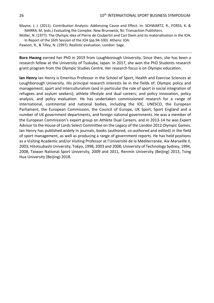Mayne, J, J. (2011). Contribution Analysis: Addressing Cause and Effect. In: SCHWARTZ, R., FORSS, K. & MARRA, M. (eds.) Evaluating the Complex. New Brunswick, NJ: Transaction Publishers.

Müller, N. (1977). The Olympic idea of Pierre de Coubertin and Carl Diem and its materialisation in the IOA. In Report of the 16th Session of the IOA (pp.94-100). Athens: IOA.

Pawson, R., & Tilley, N. (1997). Realistic evaluation. London: Sage.

**Bora Hwang** earned her PhD in 2019 from Loughborough University. Since then, she has been a research fellow at the University of Tsukuba, Japan. In 2017, she won the PhD Students research grant program from the Olympic Studies Centre. Her research focus is on Olympic education.

**Ian Henry** Ian Henry is Emeritus Professor in the School of Sport, Health and Exercise Sciences at Loughborough University. His principal research interests lie in the fields of: Olympic policy and management; sport and interculturalism (and in particular the role of sport in social integration of refugees and asylum seekers); athlete lifestyle and dual careers; and policy innovation, policy analysis, and policy evaluation. He has undertaken commissioned research for a range of international, continental and national bodies, including the IOC, UNESCO, the European Parliament, the European Commission, the Council of Europe, UK Sport, Sport England and a number of UK government departments, and foreign national governments. He was a member of the European Commission's expert group on Athlete Dual Careers, and in 2013-14 he was Expert Advisor to the House of Lords Select Committee on the Legacy of the London 2012 Olympic Games. Ian Henry has published widely in journals, books (authored, co-authored and edited) in the field of sport management, as well as producing a range of government reports. He has held positions as a Visiting Academic and/or Visiting Professor at l'Université de la Méditerranée, Aix-Marseille II, 2003; Hitotsubashi University, Tokyo, 1998, 2003 and 2008; University of Technology Sydney, 1994, 2008, Taiwan National Sport University, 2009 and 2011, Renmin University (Beijing) 2013, Tsing Hua University (Beijing) 2018.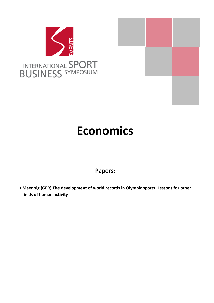



# <span id="page-26-0"></span>**Economics**

# **Papers:**

• **Maennig (GER) The development of world records in Olympic sports. Lessons for other fields of human activity**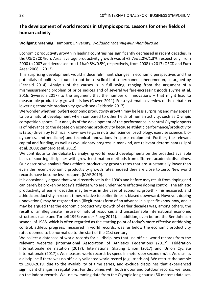# <span id="page-27-0"></span>**The development of world records in Olympic sports. Lessons for other fields of human activity**

### **Wolfgang Maennig**, Hamburg University, *Wolfgang.Maennig@uni-hamburg.de*

Economic productivity growth in leading countries has significantly decreased in recent decades. In the US/OECD/Euro Area, average productivity growth was at +2.7%/2.0%/1.3%, respectively, from 2000 to 2007 and decreased to +1.1%/0.8%/0.5%, respectively, from 2008 to 2017 (OECD and Euro Area: 2008 – 2012).

This surprising development would induce fulminant changes in economic perspectives and the potentials of politics if found to not be a cyclical but a permanent phenomenon, as argued by (Fernald 2014). Analysis of the causes is in full swing, ranging from the argument of a mismeasurement problem of price indices and of several welfare-increasing goods (Byrne et al. 2016; Syverson 2017) to the argument that the number of innovations – that might lead to measurable productivity growth – is low (Cowen 2011). For a systematic overview of the debate on lowering economic productivity growth see (Feldstein 2017).

We wonder whether low(er) economic productivity growth may be less surprising and may appear to be a natural development when compared to other fields of human activity, such as Olympic competition sports. Our analysis of the development of the performance in central Olympic sports is of relevance to the debate on economic productivity because athletic performance/productivity is (also) driven by technical know-how (e.g., in nutrition science, psychology, exercise science, biodynamics, and medicine) and technical innovations in sports equipment. Further, the relevant capital and funding, as well as evolutionary progress in mankind, are relevant determinants (Lippi et al. 2008; Zamparo et al. 2012).

We contribute to the debate by analysing world record developments on the broadest available basis of sporting disciplines with growth estimation methods from different academic disciplines. Our descriptive analysis finds athletic productivity growth rates that are substantially lower than even the recent economic productivity growth rates; indeed they are close to zero. New world records have become less frequent (IAAF 2019).

It is occasionally argued that world records set in the 1990s and before may result from doping and can barely be broken by today's athletes who are under more effective doping control. The athletic productivity of earlier decades may be – as in the case of economic growth - mismeasured, and athletic productivity in recent times relative to earlier times is biased downward. However, doping (innovations) may be regarded as a (illegitimate) form of an advance in a specific know-how, and it may be argued that the economic productivity growth of earlier decades was, among others, the result of an illegitimate misuse of natural resources and unsustainable international economic structures (Lane and Tornell 1996; van der Ploeg 2011). In addition, even before the Ben Johnson scandal of 1988, which is often regarded as the starting point of today's more effective antidoping control, athletic progress, measured in world records, was far below the economic productivity rates deemed to be normal up to the start of the 21st century.

We collect a database of world records for all disciplines that use official world records from the relevant websites (International Association of Athletics Federations (2017), Fédération Internationale de natation (2017), International Skating Union (2017) and Union Cycliste Internationale (2017)). We measure world records by speed in meters per second (m/s). We dismiss a discipline if there was no officially validated world record (e.g., triathlon). We restrict the sample to 1980-2019, due to the availability of time series, and exclude disciplines that experienced significant changes in regulations. For disciplines with both indoor and outdoor records, we focus on the indoor records. We use swimming data from the Olympic long course (50 meters) data set,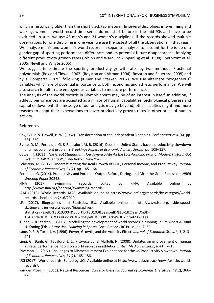which is historically older than the short track (25 meters). In several disciplines in swimming and walking, women's world record time series do not start before in the mid-90s and have to be excluded. In sum, we use 46 men's and 21 women's disciplines. If the records showed multiple observations for one discipline in one year, we use the fastest of all the observations in that year.

We analyze men's and women's world records in separate analyses to account for the issue of a gender gap of sporting performance differences and its potential future disappearance, implying different productivity growth rates (Whipp and Ward 1992; Sparling et al. 1998; Cheuvront et al. 2005; Nevill and Whyte 2005).

We suggest to estimate the sporting productivity growth rates by two methods: Fractional polynomials (Box and Tidwell 1962) (Royston and Altman 1994) (Royston and Sauerbrei 2008) and by a Gompertz (1825) following (Kuper and Sterken 2007). We use alternate "exogeneous" variables which are of potential importance to both, economic and athletic performance. We will also search for alternate endogenous variables to measure performance.

The analysis of the world records in Olympic sports may be of an interest in itself. In addition, if athletic performances are accepted as a mirror of human capabilities, technological progress and capital endowment, the message of our analysis may go beyond; other faculties might find more reasons to adapt their expectations to lower productivity growth rates in other areas of human activity.

#### **References**

- Box, G.E.P. & Tidwell, P. W. (1962). Transformation of the Independent Variables. *Technometrics 4* (4), pp. 531–550.
- Byrne, D. M., Fernald, J. G. & Reinsdorf, M. B. (2016). Does the United States have a productivity slowdown or a measurement problem? *Brookings Papers of Economic Activity Spring*, pp. 109–157.
- Cowen, T. (2011). *The Great Stagnation: How America Ate All the Low-Hanging Fruit of Modern History, Got Sick, and Will (Eventually) Feel Better*. New York.
- Feldstein, M. (2017). Underestimating the Real Growth of GDP, Personal Income, and Productivity. *Journal of Economic Perspectives, 31*(2), pp. 145–164.
- Fernald, J. G. (2014). Productivity and Potential Output Before, During, and After the Great Recession. *NBER Working Paper* 20248.
- FINA (2017). Swimming records. Edited by FINA. Available online at http://www.fina.org/content/swimming-records.
- IAAF (2019). World Records. IAAF. Available online at https://www.iaaf.org/records/by-category/worldrecords, checked on 7/16/2019.
- ISU (2017). Biographies and Statistics. ISU. Available online at http://www.isu.org/inside-speedskating/entries-results-speed/biographies-

statistics#PageID%3D103004&SportID%3D103&SeasonID%3D-1&ClassID%3D-

1&GenderID%3D1&TaalCode%3D2&StyleID%3D0&Cache%3D2.html?967998.

- Kuper, G. & Sterken, E. (2007). Modelling the development of world records in running. In Jim Albert & Ruud H. Koning (Eds.). *Statistical Thinking in Sports*. Boca Raton: CRC Press, pp. 7–32.
- Lane, P. R. & Tornell, A. (1996). Power, Growth, and the Voracity Effect. *Journal of Economic Growth, 1*, 213– 241.
- Lippi, G., Banfi, G., Favaloro, E. J., Rittweger, J. & Maffulli, N. (2008). Updates on improvement of human athletic performance: focus on world records in athletics. *British Medical Bulletin, 87*(1), 7–15.
- Syverson, C. (2017). Challenges to Mismeasurement Explanations for the US Productivity Slowdown. *Journal of Economic Perspectives, 31*(2), 165–186.
- UCI (2017). World records. Edited by UCI. Available online at http://www.uci.ch/track/news/article/worldrecords/.
- van der Ploeg, F. (2011). Natural Resources: Curse or Blessing. *Journal of Economic Literature, 49*(2), 366– 420.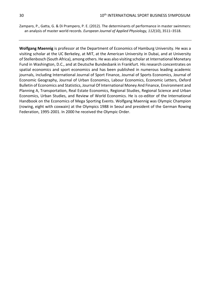Zamparo, P., Gatta, G. & Di Prampero, P. E. (2012). The determinants of performance in master swimmers: an analysis of master world records. *European Journal of Applied Physiology, 112*(10), 3511–3518.

**Wolfgang Maennig** is professor at the Department of Economics of Hamburg University. He was a visiting scholar at the UC Berkeley, at MIT, at the American University in Dubai, and at University of Stellenbosch (South Africa), among others. He was also visiting scholar at International Monetary Fund in Washington, D.C., and at Deutsche Bundesbank in Frankfurt. His research concentrates on spatial economics and sport economics and has been published in numerous leading academic journals, including International Journal of Sport Finance, Journal of Sports Economics, Journal of Economic Geography, Journal of Urban Economics, Labour Economics, Economic Letters, Oxford Bulletin of Economics and Statistics, Journal Of International Money And Finance, Environment and Planning A, Transportation, Real Estate Economics, Regional Studies, Regional Science and Urban Economics, Urban Studies, and Review of World Economics. He is co-editor of the International Handbook on the Economics of Mega Sporting Events. Wolfgang Maennig was Olympic Champion (rowing, eight with coxwain) at the Olympics 1988 in Seoul and president of the German Rowing Federation, 1995-2001. In 2000 he received the Olympic Order.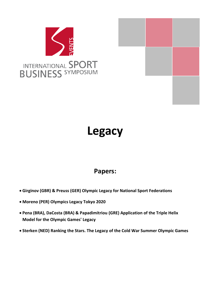



# <span id="page-30-0"></span>**Legacy**

# **Papers:**

- **Girginov (GBR) & Preuss (GER) Olympic Legacy for National Sport Federations**
- **Moreno (PER) Olympics Legacy Tokyo 2020**
- **Pena (BRA), DaCosta (BRA) & Papadimitriou (GRE) Application of the Triple Helix Model for the Olympic Games' Legacy**
- **Sterken (NED) Ranking the Stars. The Legacy of the Cold War Summer Olympic Games**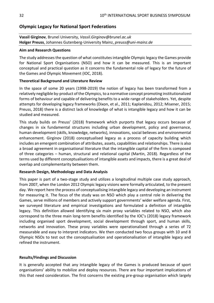# <span id="page-31-0"></span>**Olympic Legacy for National Sport Federations**

**Vassil Girginov**, Brunel University, *Vassil.Girginov@brunel.ac.uk* **Holger Preuss**, Johannes Gutenberg-University Mainz, *preuss@uni-mainz.de*

#### **Aim and Research Questions**

The study addresses the question of what constitutes intangible Olympic legacy the Games provide for National Sport Organisations (NSO) and how it can be measured. This is an important conceptual and practical question as it concerns the fundamental role of legacy for the future of the Games and Olympic Movement (IOC, 2018).

#### **Theoretical Background and Literature Review**

In the space of some 20 years (1998-2019) the notion of legacy has been transformed from a relatively negligible by-product of the Olympics, to a normative concept promoting institutionalized forms of behaviour and capable of delivering benefits to a wide range of stakeholders. Yet, despite attempts for developing legacy frameworks (Dixon, et al., 2011; Kaplanidou, 2012; Misener, 2015; Preuss, 2018) there is a distinct lack of knowledge of what is intangible legacy and how it can be studied and measured.

This study builds on Preuss' (2018) framework which purports that legacy occurs because of changes in six fundamental structures including urban development, policy and governance, human development (skills, knowledge, networks), innovations, social believes and environmental enhancement. Girginov (2018) conceptualised legacy as a process of capacity building which includes an emergent combination of attributes, assets, capabilities and relationships. There is also a broad agreement in organisational literature that the intangible capital of the firm is composed of three categories – human, structural and relational capital (Martin, 2018). Regardless of the terms used by different conceptualisations of intangible assets and impacts, there is a great deal of overlap and complementarity between them.

## **Research Design, Methodology and Data Analysis**

This paper is part of a two-stage study and utilizes a longitudinal multiple case study approach, from 2007, when the London 2012 Olympic legacy visions were formally articulated, to the present day. We report here the process of conceptualising intangible legacy and developing an instrument for measuring it. The focus of the study was on NSO which play a central role in delivering the Games, serve millions of members and actively support governments' wider welfare agenda. First, we surveyed literature and empirical investigations and formulated a definition of intangible legacy. This definition allowed identifying six main proxy variables related to NSO, which also correspond to the three main long-term benefits identified by the IOC's (2018) legacy framework including organised sport development, social development through sport, and human skills, networks and innovation. These proxy variables were operationalised through a series of 72 measurable and easy to interpret indicators. We then conducted two focus groups with 10 and 8 Olympic NSOs to test out the conceptualisation and operationalisation of intangible legacy and refined the instrument.

## **Results/Findings and Discussion**

It is generally accepted that any intangible legacy of the Games is produced because of sport organisations' ability to mobilize and deploy resources. There are four important implications of this that need consideration. The first concerns the existing pre-group organisation which largely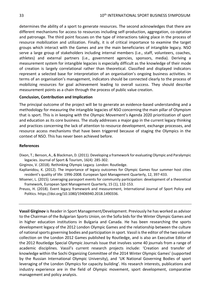determines the ability of a sport to generate resources. The second acknowledges that there are different mechanisms for access to resources including self-production, aggregation, co-optation and patronage. The third point focuses on the type of interactions taking place in the process of resource mobilization and utilization. Finally, it is of critical importance to examine the target groups which interact with the Games and are the main beneficiaries of intangible legacy. NSO serve a large group of stakeholders including internal members (i.e., staff, volunteers, coaches, athletes) and external partners (i.e., government agencies, sponsors, media). Deriving a measurement system for intangible legacies is especially difficult as the knowledge of their mode of creation is largely correlational rather than theoretical. Classified and displayed indicators represent a selected base for interpretation of an organisation's ongoing business activities. In terms of an organisation's management, indicators should be connected clearly to the process of mobilizing resources for goal achievement leading to overall success. They should describe measurement points as a chain through the process of public value creation.

## **Conclusion, Contribution and Implication**

The principal outcome of the project will be to generate an evidence-based understanding and a methodology for measuring the intangible legacies of NSO concerning the main pillar of Olympism that is sport. This is in keeping with the Olympic Movement's Agenda 2020 prioritization of sport and education as its core business. The study addresses a major gap in the current legacy thinking and practices concerning the lack of attention to resource development, exchange processes, and resource access mechanisms that have been triggered because of staging the Olympics in the context of NSO. This has never been achieved before.

#### **References**

Dixon, T.; Benson, A., & Blackman, D. (2011). Developing a framework for evaluating Olympic and Paralympic legacies. Journal of Sport & Tourism, 16(4): 285-302.

Girginov, V. (2018). Rethinking Olympic Legacy. London: Routledge.

Kaplianidou, K. (2012). The importance of legacy outcomes for Olympic Games four summer host cities resident's quality of life: 1996-2008. European Spot Management Quarterly, 12, 397-433.

- Misener, L. (2015). Leveraging parasport events for community participation: development of a theoretical framework, European Spot Management Quarterly, 15 (1), 132-153.
- Preuss, H. (2018). Event legacy framework and measurement, International Journal of Sport Policy and Politics. https://doi.org/10.1080/19406940.2018.1490336.

**Vassil Girginov** is Reader in Sport Management/Development. Previously he has worked as advisor to the Chairman of the Bulgarian Sports Union, on the Sofia bids for the Winter Olympic Games and in higher education institutions in Bulgaria and Canada. He has been researching the sports development legacy of the 2012 London Olympic Games and the relationship between the culture of national sports governing bodies and participation in sport. Vassil is the editor of the two volume collection on the London 2012 Games published by Routledge, and is also an Executive Editor of the 2012 Routledge Special Olympic Journals Issue that involves some 40 journals from a range of academic disciplines. Vassil's current research projects include: 'Creation and transfer of knowledge within the Sochi Organizing Committee of the 2014 Winter Olympic Games' (supported by the Russian International Olympic University), and 'UK National Governing Bodies of sport leveraging of the London Olympics for capacity building'. His research interests, publications and industry experience are in the field of Olympic movement, sport development, comparative management and policy analysis.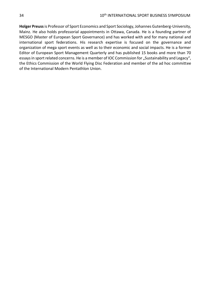**Holger Preuss**is Professor of Sport Economics and Sport Sociology, Johannes Gutenberg-University, Mainz. He also holds professorial appointments in Ottawa, Canada. He is a founding partner of MESGO (Master of European Sport Governance) and has worked with and for many national and international sport federations. His research expertise is focused on the governance and organization of mega sport events as well as to their economic and social impacts. He is a former Editor of European Sport Management Quarterly and has published 15 books and more than 70 essays in sport related concerns. He is a member of IOC Commission for "Sustainability and Legacy", the Ethics Commission of the World Flying Disc Federation and member of the ad hoc committee of the International Modern Pentathlon Union.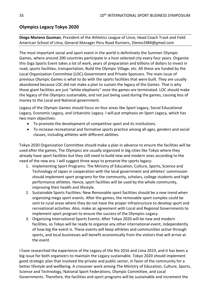# <span id="page-34-0"></span>**Olympics Legacy Tokyo 2020**

# **Diego Moreno Guzman**, President of the Athletics League of Lince, Head Coach Track and Field American School of Lima, General Manager Peru Road Runners, *Diemo1984@gmail.com*

The most important social and sport event in the world is definitively the Summer Olympic Games, where around 200 countries participate in a host selected city every four years. Organize this Giga Sports Event takes a lot of work, years of preparation and billions of dollars to invest in road, sports facilities, transportation, Build the Olympic Village, etc. All these are funded by the Local Organization Committee (LOC)-Government and Private Sponsors. The main issue of previous Olympic Games is what to do with the sports facilities that were built. They are usually abandoned because LOC did not make a plan to sustain the legacy of the Games. That is why those giant facilities are just "white elephants" once the games are terminated. LOC should make the legacy of the Olympics sustainable, and not just being used during the games, causing loss of money to the Local and National government.

Legacy of the Olympic Games should focus on four areas like Sport Legacy, Social Educational Legacy, Economic Legacy, and Urbanistic Legacy. I will put emphasis on Sport Legacy, which has two main objectives:

- To promote the development of competitive sport and its institutions.
- To increase recreational and formative sports practice among all ages, genders and social classes, including athletes with different abilities.

Tokyo 2020 Organization Committee should make a plan in advance to ensure the facilities will be used after the games, The Olympics are usually organized in big cities like Tokyo where they already have sport facilities but they still need to build new and modern ones according to the need of the new era. I will suggest three ways to preserve the sports legacy:

- 1. Implementing Sport Programs: The Ministry of Education, Culture, Sports, Science and Technology of Japan in cooperation with the local government and athletes' commission should implement sport programs for the community, scholars, college students and high performance athletes. Hence, sport facilities will be used by the whole community, improving their health and lifestyle.
- 2. Sustainable Sports Facilities: New Removable sport facilities should be a new trend when organizing mega sport events. After the games, the removable sport complex could be sent to rural areas where they do not have the proper infrastructure to develop sport and recreational activities. Also, make an agreement with Local and Regional Governments to implement sport program to ensure the success of the Olympics Legacy.
- 3. Organizing International Sports Events: After Tokyo 2020 will be new and modern facilities, so Tokyo will be ready to organize any other international event, independently of how big the event is. These events will keep athletes and communities active through sports, and local businesses will benefit economically from the visitors that will arrive at the event.

I have researched the experience of the Legacy of the Rio 2016 and Lima 2019, and it has been a big issue for both organizers to maintain the Legacy sustainable. Tokyo 2020 should implement good strategic plan that involved the private and public sector, in favor of the community for a better lifestyle and wellbeing. A crossover work among The Ministry of Education, Culture, Sports, Science and Technology, National Sport Federations, Olympic Committee, and Local Governments. Therefore, the facilities and sport programs will be sustainable and increment the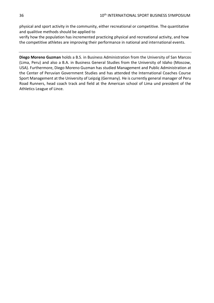physical and sport activity in the community, either recreational or competitive. The quantitative and qualitive methods should be applied to

verify how the population has incremented practicing physical and recreational activity, and how the competitive athletes are improving their performance in national and international events.

**Diego Moreno Guzman** holds a B.S. in Business Administration from the University of San Marcos (Lima, Peru) and also a B.A. in Business General Studies from the University of Idaho (Moscow, USA). Furthermore, Diego Moreno Guzman has studied Management and Public Administration at the Center of Peruvian Government Studies and has attended the International Coaches Course Sport Management at the University of Leipzig (Germany). He is currently general manager of Peru Road Runners, head coach track and field at the American school of Lima und president of the Athletics League of Lince.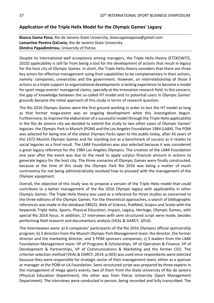# <span id="page-36-0"></span>**Application of the Triple Helix Model for the Olympic Games' Legacy**

**Bianca Gama Pena**, Rio de Janeiro State University, *biancagamapena@gmail.com* **Lamartine Pereira DaCosta**, Rio de Janeiro State University **Dimitra Papadimitriou**, University of Patras

Despite its international well acceptance among managers, the Triple Helix theory (ETZKOWITZ, 2010) applicability is still far from being a tool for the development of actions that result in legacy for the host city of Olympic Games. In short, the Triple Helix theory considers that there are three key actors for effective management using their capabilities to be complementary in their actions, namely: companies, universities and the government. However, an interrelationship of those 3 actions as a triple support to organizational developments is lacking experience to become a model for sport mega-events' managerial claims, specially at the innovation research field. In this concern, the gap of knowledge between the so-called HT model and its potential users in Olympic Games' grounds became the initial approach of this study in terms of research question.

The Rio 2016 Olympic Games were the first ground working in order to test the HT model as long as that former mega-event was an ongoing development when this investigation begun. Furthermore, to improve the elaboration of a successful model through the Triple Helix applicability in the Rio de Janeiro city we decided to extend the study to two other cases of Olympic Games' legacies: the Olympic Park in Munich (POM) and the Los Angeles Foundation 1984 (LA84). The POM was selected for being one of the oldest Olympic Parks open to the public today, after 45 years of the 1972 Munich Olympic Games and for standing out as a benchmark of success as it relates to social legacies as a final result. The LA84 Foundation was also selected because it was considered a great legacy reference for the 1984 Los Angeles Olympics. The creation of the LA84 Foundation one year after the event was due to the need to apply surplus financial amount in actions to generate legacy for the host city. The three scenarios of Olympic Games were finally constructed, because at the time of this study the Olympic Park Rio 2016 was being a matter of much controversy for not being administratively resolved how to proceed with the management of the Olympic equipment.

Overall, the objective of this study was to propose a version of the Triple Helix model that could contribute to a better management of the Rio 2016 Olympic legacy with applicability in other Olympic Games. The Triple Helix theory was used as a reference for three studies as concerned to the three editions of the Olympic Games. For the theoretical approaches, a search of bibliographic references was made in the database EBSCO, Web of Science, PubMed, Scopus and Scielo with the keywords Triple Helix, Sports, Physical Education, Impact, Legacy, Heritage, Olympic Games, with special Rio 2016 focus. In addition, 17 interviews with semi structured script were made, besides performing field research and documentary analysis (VEAL & DARCY, 2014).

The interviewees were: a) 6 companies' participants of the Rio 2016 Olympics official sponsorship program; b) 3 directors from the Munich Olympic Park Management team: the director, the former director and the marketing director, and 3 POM sponsors companies; c) 5 leaders from the LA84 Foundation Management team: VP of Programs & Scholarships, VP of Operation & Finance, VP of Development & Partnerships, VP of Communications & Marketing and the former CEO. The criterion selection method (VEAL & DARCY, 2014, p.403) was used since respondents were selected because they were responsible for strategic sector of their management team, either as a sponsor or manager at the POM or LA Foundation. Semi-structured script was prepared by three experts in the management of mega sports events, two of them from the State University of Rio de Janeiro (Physical Education Department), the other was from Patras University (Sport Management Department). The interviews were conducted in person, being recorded and fully transcribed. The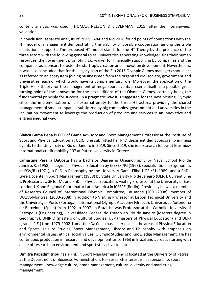content analysis was used (THOMAS, NELSON & SILVERMAN, 2015) after the interviewees' validation.

In conclusion, separate analysis of POM, LA84 and Rio 2016 found points of connections with the HT model of management demonstrating the viability of possible cooperation among the triple institutional supports. The proposed HT model stands for the HT Theory by the presence of the three actors with the following general roles: universities generating knowledge using their human resources, the government promoting tax waiver for financially supporting by companies and the companies as sponsors to foster the start-up's creation and innovation development. Nevertheless, it was also concluded that for the legacy plan of the Rio 2016 Olympic Games managers should act as referred to an ecosystem joining businessmen from the organized civil society, government and universities, each of which would have its complementary role. Moreover, the application of the Triple Helix theory for the management of mega-sport events presents itself as a possible great turning point of the innovation for the next editions of the Olympic Games, certainly being the fundamental principle for success. In a pragmatic way it is suggested for the next hosting Olympic cities the implementation of an external entity to the three HT actors, providing the shared management of small companies subsidized by big companies, government and universities in the incubation movement to leverage the production of products and services in an innovative and entrepreneurial way.

**Bianca Gama Pena** is CEO of Gama Advisory and Sport Management Professor at the Institute of Sport and Physical Education at UERJ. She submitted her PhD thesis entitled Sponsorship in mega events to the University of Rio de Janeiro in 2019. Since 2019, she is a research fellow at Erasmus+ International credit mobility 107 at Patras University in Greece.

**Lamartine Pereira DaCosta** has a Bachelor Degree in Oceanography by Naval School Rio de Janeiro/RJ (1958), a degree in Physical Education by EsEFEx /RJ (1963), specialization in Ergonomics at FGV/RJ (1971), a PhD in Philosophy by the University Gama Filho-UGF /RJ (1989) and a PhD - Livre Docente in Sport Management (1988) by State University Rio de Janeiro (UERJ). Currently he is Professor at UGF for Ms and PhD in Physical Education, Visiting Professor at the University of East London-UK and Regional Coordinator Latin America in ICSSPE (Berlin). Previously he was a member of Research Council of International Olympic Committee, Lausanne (2001-2008), member of WADA-Montreal (2000-2008) in addition to Visiting Professor at Lisbon Technical University and the University of Porto (Portugal), International Olympic Academy (Greece), Universidad Autonoma de Barcelona (Spain) from 1992 to 2007. In Brazil he was Professor at the Catholic University of Petrópolis (Engineering), Universidade Federal do Estado do Rio de Janeiro (Masters degree in Geography), UNIRIO (masters of Cultural Studies, USP (masters of Physical Education) and UERJ (grad in P.E.) from 1979-2002. Lamartine Da Costa has experience in the areas of Physical Education and Sports, Leisure Studies, Sport Management, History and Philosophy with emphasis on environmental issues, ethics, social values, Olympic Studies and Knowledge Management. He has continuous production in research and development since 1963 in Brazil and abroad, starting with a line of research on environment and sport still active to date.

**Dimitra Papadimitriou** has a PhD in Sport Management and is located at the University of Patras at the Department of Business Administration. Her research interest is in sponsorship, sport management, knowledge culture, brand management, cultural diversity and marketing management.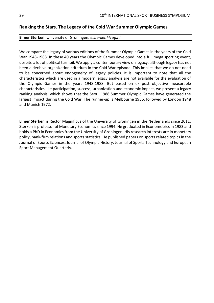# <span id="page-38-0"></span>**Ranking the Stars. The Legacy of the Cold War Summer Olympic Games**

#### **Elmer Sterken**, University of Groningen*, e.sterken@rug.nl*

We compare the legacy of various editions of the Summer Olympic Games in the years of the Cold War 1948-1988. In these 40 years the Olympic Games developed into a full mega sporting event, despite a lot of political turmoil. We apply a contemporary view on legacy, although legacy has not been a decisive organization criterium in the Cold War episode. This implies that we do not need to be concerned about endogeneity of legacy policies. It is important to note that all the characteristics which are used in a modern legacy analysis are not available for the evaluation of the Olympic Games in the years 1948-1988. But based on ex post objective measurable characteristics like participation, success, urbanization and economic impact, we present a legacy ranking analysis, which shows that the Seoul 1988 Summer Olympic Games have generated the largest impact during the Cold War. The runner-up is Melbourne 1956, followed by London 1948 and Munich 1972.

**Elmer Sterken** is Rector Magnificus of the University of Groningen in the Netherlands since 2011. Sterken is professor of Monetary Economics since 1994. He graduated in Econometrics in 1983 and holds a PhD in Economics from the University of Groningen. His research interests are in monetary policy, bank-firm relations and sports statistics. He published papers on sports related topics in the Journal of Sports Sciences, Journal of Olympic History, Journal of Sports Technology and European Sport Management Quarterly.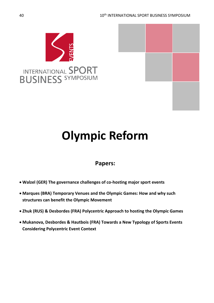



# <span id="page-39-0"></span>**Olympic Reform**

# **Papers:**

- **Walzel (GER) The governance challenges of co-hosting major sport events**
- **Marques (BRA) Temporary Venues and the Olympic Games: How and why such structures can benefit the Olympic Movement**
- **Zhuk (RUS) & Desbordes (FRA) Polycentric Approach to hosting the Olympic Games**
- **Mukanova, Desbordes & Hautbois (FRA) Towards a New Typology of Sports Events Considering Polycentric Event Context**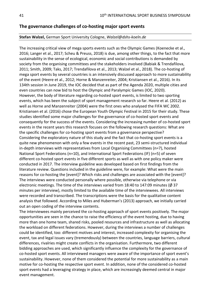# <span id="page-40-0"></span>**The governance challenges of co-hosting major sport events**

#### **Stefan Walzel,** German Sport University Cologne, *Walzel@dshs-koeln.de*

The increasing critical view of mega sports events such as the Olympic Games (Koenecke et al., 2016; Langer et al., 2017; Scheu & Preuss, 2018) is due, among other things, to the fact that more sustainability in the sense of ecological, economic and social contributions is demanded by society from the organising committees and the stakeholders involved (Babiak & Trendafilova, 2011; Smith, 2009; Taks, 2017; Trendafilova et al., 2013; Walzel et al., 2018). The co-hosting of mega sport events by several countries is an intensively discussed approach to more sustainability of the event (Heere et al., 2012; Horne & Manzenreiter, 2004; Kristiansen et al., 2016). In its 134th session in June 2019, the IOC decided that as part of the Agenda 2020, multiple cities and even countries can now bid to host the Olympic and Paralympic Games (IOC, 2020). However, the body of literature regarding co-hosted sport events, is limited to two sporting events, which has been the subject of sport management research so far. Heere et al. (2012) as well as Horne and Manzenreiter (2004) were the first ones who analysed the FIFA WC 2002. Kristiansen et al. (2016) chose the European Youth Olympic Festival in 2015 for their study. These studies identified some major challenges for the governance of co-hosted sport events and consequently for the success of the events. Considering the increasing number of co-hosted sport events in the recent years this research focuses on the following research questions: What are the specific challenges for co-hosting sport events from a governance perspective? Considering the exploratory nature of this study and the fact that co-hosting sport events is a quite new phenomenon with only a few events in the recent past, 23 semi-structured individual in-depth interviews with representatives from Local Organising Committees (n=7), hosted National Sport Federations (n=10), and International Sport Federations (IF) (n=5) of seven different co-hosted sport events in five different sports as well as with one policy maker were conducted in 2017. The interview guideline was developed based on first findings from the literature review. Questions included in the guideline were, for example: What were the main reasons for co-hosting the [event]? Which risks and challenges are associated with the [event]? The interviews were conducted personally where possible, otherwise via telephone or via electronic meetings. The time of the interviews varied from 18:40 to 147:09 minutes (Ø 37 minutes per interview), mostly limited to the available time of the interviewees. All interviews were recorded and transcribed. The transcriptions were the basis for the qualitative content analysis that followed. According to Miles and Huberman's (2013) approach, we initially carried out an open coding of the interview contents.

The interviewees mainly perceived the co-hosting approach of sport events positively. The major opportunities are seen in the chance to raise the efficiency of the event hosting, due to having more than one home team, shared risks, pooled resources and infrastructure as well as allocating the workload on different federations. However, during the interviews a number of challenges could be identified, too: different motives and interest, increased complexity for organising the event, tax and legal issues vary (tremendously) between the countries, language barriers, cultural differences, rivalries might create conflicts in the organisation. Furthermore, two different bidding approaches are used, which significantly influence the complexity for the governance of co-hosted sport events. All interviewed managers were aware of the importance of sport event's sustainability. However, none of them considered the potential for more sustainability as a main motive for co-hosting the respective sport event. In addition, none of the considered co-hosted sport events had a leveraging strategy in place, which are increasingly deemed central in major event management.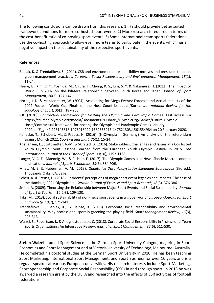The following conclusions can be drawn from this research: 1) IFs should provide better suited framework conditions for more co-hosted sport events. 2) More research is required in terms of the cost-benefit ratio of co-hosting sport events. 3) Some international team sports federations use the co-hosting approach to allow even more teams to participate in the events, which has a negative impact on the sustainability of the respective sport events.

### **References**

- Babiak, K. & Trendafilova, S. (2011). CSR and environmental responsibility: motives and pressures to adopt green management practices. *Corporate Social Responsibility and Environmental Management, 18*(1), 11-24.
- Heere, B., Kim, C. Y., Yoshida, M., Ogura, T., Chung, K. S., Lim, S. Y. & Nakamura, H. (2012). The impact of World Cup 2002 on the bilateral relationship between South Korea and Japan*. Journal of Sport Management, 26*(2), 127-142.
- Horne, J. D. & Manzenreiter, W. (2004). Accounting for Mega-Events: Forecast and Actual Impacts of the 2002 Football World Cup Finals on the Host Countries Japan/Korea. *International Review for the Sociology of Sport, 39*(2), 187-203.
- IOC (2020). *Contractual Framework for Hosting the Olympic and Paralympic Games*. Last access via https://stillmed.olympic.org/media/Document%20Library/OlympicOrg/Games/Future-Olympic-Hosts/Contractual-framework-for-hosting-the-Olympic-and-Paralympic-Games-January-2020.pdf#\_ga=2.226145818.1073018029.1582353916-147521303.1561554984 on 20 February 2020.
- Könecke, T., Schubert, M., & Preuss, H. (2016). (N)Olympia in Germany? An analysis of the referendum against Munich 2022. *Sportwissenschaft, 26*(1), 15-24.
- Kristiansen, E., Strittmatter, A.-M. & Skirstad, B. (2016). Stakeholders, Challenges and Issues at a Co-Hosted Youth Olympic Event: lessons Learned from the European Youth Olympic Festival in 2015. *The International Journal of the History of Sport, 33(*10), 1152-1168.
- Langer, V. C. E., Maennig, W., & Richter, F. (2017). The Olympic Games as a News Shock: Macroeconomic Implications. *Journal of Sports Economics, 19*(6), 884-906.
- Miles, M. B. & Huberman, A. M. (2013). *Qualitative Data Analysis: An Expanded Sourcebook* (3rd ed.). Thousands Oaks, CA: Sage.
- Scheu, A. & Preuss, H. (2018). Residents' perceptions of mega sport event legacies and impacts. The case of the Hamburg 2024 Olympic bid. *German Journal of Exercise and Sport Research, 48*(3), 376-386.
- Smith, A. (2009). Theorising the Relationship between Major Sport Events and Social Sustainability. *Journal of Sport & Tourism, 14*(2-3), 109-120.
- Taks, M. (2013). Social sustainability of non-mega sport events in a global world. *European Journal for Sport and Society, 10*(2), 121-141.
- Trendafilova, S., Babiak, K., & Heinze, K. (2013). Corporate social responsibility and environmental sustainability: Why professional sport is greening the playing field. *Sport Management Review, 16*(3), 298-313.
- Walzel, S., Robertson, J., & Anagnostopoulos, C. (2018). Corporate Social Responsibility in Professional Team Sports Organizations: An Integrative Review. *Journal of Sport Management, 32*(6), 511-530.

**Stefan Walzel** studied Sport Science at the German Sport University Cologne, majoring in Sport Economics and Sport Management and at Victoria University of Technology, Melbourne, Australia. He completed his doctoral studies at the German Sport University in 2010. He has been teaching Sport Marketing, International Sport Management, and Sport Business for over 10 years and is a regular speaker at various European universities. His research interests include Sport Marketing, Sport Sponsorship and Corporate Social Responsibility (CSR) in and through sport. In 2013 he was awarded a research grant by the UEFA and researched into the effects of CSR activities of football federations.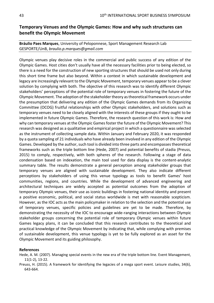# <span id="page-42-0"></span>**Temporary Venues and the Olympic Games: How and why such structures can benefit the Olympic Movement**

# **Bráulio Paes Marques**, University of Peloponnese, Sport Management Research Lab GESPORTE/UnB, *braulio.p.marques@gmail.com*

Olympic venues play decisive roles in the commercial and public success of any edition of the Olympic Games. Host cities don't usually have all the necessary facilities prior to being elected, so there is a need for the construction of new sporting structures that should be used not only during this short time frame but also beyond. Within a context in which sustainable development and legacy are increasingly relevant to the Olympic Movement, temporary venues appear to be a clever solution by complying with both. The objective of this research was to identify different Olympic stakeholders' perceptions of the potential role of temporary venues in fostering the future of the Olympic Movement. The adoption of the stakeholder theory as theoretical framework occurs under the presumption that delivering any edition of the Olympic Games demands from its Organizing Committee (OCOG) fruitful relationships with other Olympic stakeholders, and solutions such as temporary venues need to be closely aligned with the interests of these groups if they ought to be implemented in future Olympic Games. Therefore, the research question of this work is: How and why can temporary venues at the Olympic Games foster the future of the Olympic Movement? This research was designed as a qualitative and empirical project in which a questionnaire was selected as the instrument of collecting sample data. Within January and February 2020, it was responded by a quota sampling of 21 individuals who have already been involved in any edition of the Olympic Games. Developed by the author, such tool is divided into three parts and encompasses theoretical frameworks such as the triple bottom line (Hede, 2007) and potential benefits of stadia (Preuss, 2015) to comply, respectively, with both spheres of the research. Following a stage of data condensation based on indexation, the main tool used for data display is the content-analytic summary table. The results demonstrate a general perception among stakeholder groups that temporary venues are aligned with sustainable development. They also indicate different perceptions by stakeholders of using this venue typology as tools to benefit Games' host communities, regions, and countries. While the development of advanced engineering and architectural techniques are widely accepted as potential outcomes from the adoption of temporary Olympic venues, their use as iconic buildings in fostering national identity and present a positive economic, political, and social status worldwide is met with reasonable scepticism. However, as the IOC acts as the main policymaker in relation to the selection and the potential use of temporary venues, specific policies and guidelines are yet to be made. Therefore, by demonstrating the necessity of the IOC to encourage wide-ranging interactions between Olympic stakeholder groups concerning the potential role of temporary Olympic venues within future Games legacy plans, it can be concluded that this research contributes to the theoretical and practical knowledge of the Olympic Movement by indicating that, while complying with premises of sustainable development, this venue typology is yet to be fully explored as an asset for the Olympic Movement and its guiding philosophy.

#### **References**

- Hede, A. M. (2007). Managing special events in the new era of the triple bottom line. Event Management, 11(1-2), 13-22.
- Preuss, H. (2015). A framework for identifying the legacies of a mega sport event. Leisure studies, 34(6), 643-664.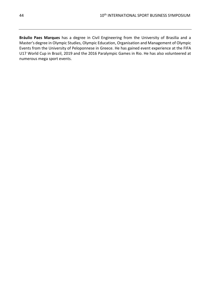**Bráulio Paes Marques** has a degree in Civil Engineering from the University of Brasilia and a Master's degree in Olympic Studies, Olympic Education, Organisation and Management of Olympic Events from the University of Peloponnese in Greece. He has gained event experience at the FIFA U17 World Cup in Brazil, 2019 and the 2016 Paralympic Games in Rio. He has also volunteered at numerous mega sport events.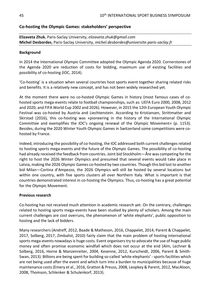# <span id="page-44-0"></span>**Co-hosting the Olympic Games: stakeholders' perspective**

**Elizaveta Zhuk**, Paris-Saclay University, *elizaveta.zhuk@gmail.com* **Michel Desbordes**, Paris-Saclay University, *michel.desbordes@universite-paris-saclay.fr*

### **Background**

In 2014 the International Olympic Committee adopted the Olympic Agenda 2020. Cornerstones of the Agenda 2020 are reduction of costs for bidding, maximum use of existing facilities and possibility of co-hosting (IOC, 2014).

'Co-hosting' is a situation when several countries host sports event together sharing related risks and benefits. It is a relatively new concept, and has not been widely researched yet.

At the moment there were no co-hosted Olympic Games in history (most famous cases of cohosted sports mega-events relate to football championships, such as: UEFA Euro 2000, 2008, 2012 and 2020, and FIFA World Cup 2002 and 2026). However, in 2015 the 12th European Youth Olympic Festival was co-hosted by Austria and Liechtenstein. According to Kristiansen, Strittmatter and Skirstad (2016), this co-hosting was «pioneering in the history of the International Olympic Committee and exemplifies the IOC's ongoing renewal of the Olympic Movement» (p. 1153). Besides, during the 2020 Winter Youth Olympic Games in Switzerland some competitions were cohosted by France.

Indeed, introducing the possibility of co-hosting, the IOC addressed both current challenges related to hosting sports mega-events and the future of the Olympic Games. The possibility of co-hosting had already received the feedback from countries. Joint bid Stockholm—Åre was competing for the right to host the 2026 Winter Olympics and presumed that several events would take place in Latvia, making the 2026 Olympic Games co-hosted by two countries. Though this bid lost to another bid Milan—Cortina d'Ampezzo, the 2026 Olympics will still be hosted by several locations but within one country, with five sports clusters all over Northern Italy. What is important is that countries demonstrated interest in co-hosting the Olympics. Thus, co-hosting has a great potential for the Olympic Movement.

## **Previous research**

Co-hosting has not received much attention in academic research yet. On the contrary, challenges related to hosting sports mega-events have been studied by plenty of scholars. Among the main current challenges are cost overruns, the phenomenon of 'white elephants', public opposition to hosting and the lack of bidders.

Many researchers (Andreff, 2012, Baade & Matheson, 2016, Chappelet, 2014, Parent & Chappelet, 2017, Solberg, 2017, Zimbalist, 2010) fairly claim that the main problem of hosting international sports mega-events nowadays is huge costs. Event organisers try to advocate the use of huge public money and often promise economic windfall which does not occur at the end (Alm, Lechner & Solberg, 2016, Horne & Manzenreiter, 2004, Kesenne, 2012, Kurscheidt, 2006, Parent & Smith-Swan, 2013). Billions are being spent for building so-called 'white elephants' - sports facilities which are not being used after the event and which turn into a burden to municipalities because of huge maintenance costs (Emery et al., 2016, Gratton & Preuss, 2008, Leopkey & Parent, 2012, MacAloon, 2008, Thomson, Schlenker & Schulenkorf, 2013).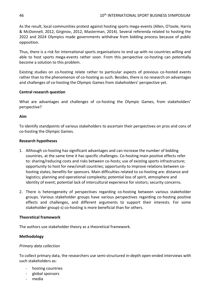As the result, local communities protest against hosting sports mega-events (Allen, O'toole, Harris & McDonnell, 2012, Girginov, 2012, Masterman, 2014). Several referenda related to hosting the 2022 and 2024 Olympics made governments withdraw from bidding process because of public opposition.

Thus, there is a risk for international sports organisations to end up with no countries willing and able to host sports mega-events rather soon. From this perspective co-hosting can potentially become a solution to this problem.

Existing studies on co-hosting relate rather to particular aspects of previous co-hosted events rather than to the phenomenon of co-hosting as such. Besides, there is no research on advantages and challenges of co-hosting the Olympic Games from stakeholders' perspective yet.

# **Central research question**

What are advantages and challenges of co-hosting the Olympic Games, from stakeholders' perspective?

# **Aim**

To identify standpoints of various stakeholders to ascertain their perspectives on pros and cons of co-hosting the Olympic Games.

# **Research hypotheses**

- 1. Although co-hosting has significant advantages and can increase the number of bidding countries, at the same time it has specific challenges. Co-hosting main positive effects refer to: sharing/reducing costs and risks between co-hosts; use of existing sports infrastructure; opportunity to host for new/small countries; opportunity to improve relations between cohosting states; benefits for sponsors. Main difficulties related to co-hosting are: distance and logistics; planning and operational complexity; potential loss of spirit, atmosphere and identity of event; potential lack of intercultural experience for visitors; security concerns.
- 2. There is heterogeneity of perspectives regarding co-hosting between various stakeholder groups. Various stakeholder groups have various perspectives regarding co-hosting positive effects and challenges, and different arguments to support their interests. For some stakeholder group(-s) co-hosting is more beneficial than for others.

## **Theoretical framework**

The authors use stakeholder theory as a theoretical framework.

# **Methodology**

# *Primary data collection*

To collect primary data, the researchers use semi-structured in-depth open-ended interviews with such stakeholders as:

- hosting countries
- global sponsors
- media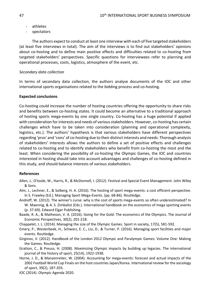- athletes
- spectators

The authors expect to conduct at least one interview with each of five targeted stakeholders (at least five interviews in total). The aim of the interviews is to find out stakeholders' opinions about co-hosting and to define main positive effects and difficulties related to co-hosting from targeted stakeholders' perspectives. Specific questions for interviewees refer to planning and operational processes, costs, logistics, atmosphere of the event, etc.

#### *Secondary data collection*

In terms of secondary data collection, the authors analyse documents of the IOC and other international sports organisations related to the bidding process and co-hosting.

#### **Expected conclusions**

Co-hosting could increase the number of hosting countries offering the opportunity to share risks and benefits between co-hosting states. It could become an alternative to a traditional approach of hosting sports mega-events by one single country. Co-hosting has a huge potential if applied with consideration for interests and needs of various stakeholders. However, co-hosting has certain challenges which have to be taken into consideration (planning and operational complexity, logistics, etc.). The authors' hypothesis is that various stakeholders have different perspectives regarding 'pros' and 'cons' of co-hosting due to their distinct interests and needs. Thorough analysis of stakeholders' interests allows the authors to define a set of positive effects and challenges related to co-hosting and to identify stakeholders who benefit from co-hosting the most and the least. When considering the possibility of co-hosting the Olympic Games, the IOC and countries interested in hosting should take into account advantages and challenges of co-hosting defined in this study, and should balance interests of various stakeholders.

#### **References**

- Allen, J., O'toole, W., Harris, R., & McDonnell, I. (2012). Festival and Special Event Management. John Wiley & Sons.
- Alm, J., Lechner, E., & Solberg, H. A. (2016). The hosting of sport mega-events: a cost efficient perspective. In S. Frawley (Ed.). Managing Sport Mega-Events. (pp. 68-86). Routledge.
- Andreff, W. (2012). The winner's curse: why is the cost of sports mega-events so often underestimated? In W. Maennig, & A. S. Zimbalist (Eds.). International handbook on the economics of mega sporting events (p. 37-69). Edward Elgar Publishing.
- Baade, R. A., & Matheson, V. A. (2016). Going for the Gold: The economics of the Olympics. The Journal of Economic Perspectives, 30(2), 201-218.
- Chappelet, J. L. (2014). Managing the size of the Olympic Games. Sport in society, 17(5), 581-592.
- Emery, P., Westerbeek, H., Schwarz, E. C., Liu, D., & Turner, P. (2016). Managing sport facilities and major events. Routledge.
- Girginov, V. (2012). Handbook of the London 2012 Olympic and Paralympic Games: Volume One: Making the Games. Routledge.
- Gratton, C., & Preuss, H. (2008). Maximizing Olympic impacts by building up legacies. The international journal of the history of sport, 25(14), 1922-1938.
- Horne, J. D., & Manzenreiter, W. (2004). Accounting for mega-events: forecast and actual impacts of the 2002 Football World Cup Finals on the host countries Japan/Korea. International review for the sociology of sport, 39(2), 187-203.
- IOC (2014). Olympic Agenda 2020.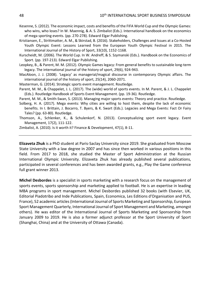- Kesenne, S. (2012). The economic impact, costs and benefits of the FIFA World Cup and the Olympic Games: who wins, who loses? In W. Maennig, & A. S. Zimbalist (Eds.). International handbook on the economics of mega sporting events. (pp. 270-278). Edward Elgar Publishing.
- Kristiansen, E., Strittmatter, A. M., & Skirstad, B. (2016). Stakeholders, Challenges and Issues at a Co-Hosted Youth Olympic Event: Lessons Learned from the European Youth Olympic Festival in 2015. The International Journal of the History of Sport, 33(10), 1152-1168.
- Kurscheidt, M. (2006). The World Cup. In W. Andreff, & S. Szymanski (Eds.). Handbook on the Economics of Sport. (pp. 197-213). Edward Elgar Publishing.
- Leopkey, B., & Parent, M. M. (2012). Olympic Games legacy: From general benefits to sustainable long-term legacy. The international journal of the history of sport, 29(6), 924-943.
- MacAloon, J. J. (2008). 'Legacy' as managerial/magical discourse in contemporary Olympic affairs. The international journal of the history of sport, 25(14), 2060-2071.
- Masterman, G. (2014). Strategic sports event management. Routledge.
- Parent, M. M., & Chappelet, J. L. (2017). The (wide) world of sports events. In M. Parent, & J. L. Chappelet (Eds.). Routledge Handbook of Sports Event Management. (pp. 19-36). Routledge.
- Parent, M. M., & Smith-Swan, S. (2013). Managing major sports events: Theory and practice. Routledge.
- Solberg, H. A. (2017). Mega events: Why cities are willing to host them, despite the lack of economic benefits. In I. Brittain, J. Bocarro, T. Byers, & K. Swart (Eds.). Legacies and Mega Events: Fact Or Fairy Tales? (pp. 63-80). Routledge.
- Thomson, A., Schlenker, K., & Schulenkorf, N. (2013). Conceptualizing sport event legacy. Event Management, 17(2), 111-122.

Zimbalist, A. (2010). Is it worth it? Finance & Development, 47(1), 8-11.

**Elizaveta Zhuk** is a PhD student at Paris-Saclay University since 2019. She graduated from Moscow State University with a law degree in 2007 and has since then worked in various positions in this field. From 2017 to 2018, she studied the Master of Sport Administration at the Russian International Olympic University. Elizaveta Zhuk has already published several publications, participated in several conferences and has been awarded grants, e.g., Play the Game conference full grant winner 2013.

**Michel Desbordes** is a specialist in sports marketing with a research focus on the management of sports events, sports sponsorship and marketing applied to football. He is an expertise in leading MBA programs in sport management. Michel Desbordes published 32 books (with Elsevier, UK, Editorial Piadotribo and Inde Publications, Spain, Economica, Les Editions d'Organisation and PUS, France), 52 academic articles (International Journal of Sports Marketing and Sponsorship, European Sport Management Quarterly, International Journal of Sport Management and Marketing, amongst others). He was editor of the International Journal of Sports Marketing and Sponsorship from January 2009 to 2019. He is also a former adjunct professor at the Sport University of Sport (Shanghai, China) and at the University of Ottawa (Canada).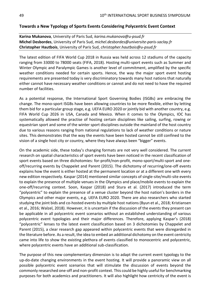# <span id="page-48-0"></span>**Towards a New Typology of Sports Events Considering Polycentric Event Context**

**Karina Mukanova**, University of Paris Sud, *karina.mukanova@u-psud.fr* **Michel Desbordes**, University of Paris Sud, *michel.desbordes@universite-paris-saclay.fr* **Christopher Hautbois**, University of Paris Sud, *christopher.hautbois@u-psud.fr*

The latest edition of FIFA World Cup 2018 in Russia was held across 12 stadiums of the capacity ranging from 33000 to 78000 seats (FIFA, 2018). Hosting multi-sport events such as Summer and Winter Olympic and Paralympic Games is another level of commitment, amplified by the specific weather conditions needed for certain sports. Hence, the way the major sport event hosting requirements are presented today is very discriminatory towards many host nations that naturally either cannot have necessary weather conditions or cannot and do not need to have the required number of facilities.

As a potential response, the International Sport Governing Bodies (ISGBs) are embracing the change. The mono-sport ISGBs have been allowing countries to be more flexible, either by letting them bid for a particular group stage, e.g. UEFA EURO 2020 or jointly bid with another country, e.g. FIFA World Cup 2026 in USA, Canada and Mexico. When it comes to the Olympics, IOC has systematically allowed the practise of hosting certain disciplines like sailing, surfing, rowing or equestrian sport and some of the winter sport disciplines outside the mainland of the host country due to various reasons ranging from national regulations to lack of weather conditions or nature sites. This demonstrates that the way the events have been hosted cannot be still confined to the vision of a single host city or country, where they have always been "bigger" events.

On the academic side, these today's changing formats are not very well considered. The current research on spatial characteristics of sport events have been noticed in the recent classification of sport events based on three dichotomies: for-profit/non-profit, mono-sport/multi-sport and oneoff/recurring events by Chappelet and Parent (2015). The dichotomy of recurring/one-off events explains how the event is either hosted at the permanent location or at a different one with every new edition respectively. Kaspar (2014) mentioned similar concepts of single-site/multi-site events to explain the presence of multiple venues in the Olympics and place/mobile events to explain the one-off/recurring context. Soon, Kaspar (2018) and Stura et al. (2017) introduced the term "polycentric" to explain the presence of a venue cluster beyond the host nation's borders in the Olympics and other major events, e.g. UEFA EURO 2020. There are also researchers who started studying the joint bids and co-hosted events by multiple host nations (Byun et al., 2018; Kristiansen et al., 2016; Walzel, 2018). However, it is uncertain if the discussion of the events they present can be applicable in all polycentric event scenarios without an established understanding of various polycentric event typologies and their major differences. Therefore, applying Kaspar's (2018) "polycentric" lenses to the latest event classification based on 3 dichotomies by Chappelet and Parent (2015), a clear research gap appeared within polycentric events that were disregarded in the literature before. As a result, the idea to embed an additional dichotomy on the event centricity came into life to show the existing plethora of events classified to monocentric and polycentric, where polycentric events have an additional sub-classification.

The purpose of this new complementary dimension is to adapt the current event typology to the up-do-date changing environments in the event hosting. It will provide a panoramic view on all possible polycentric event scenarios that will stimulate the discussion of events beyond the commonly researched one-off and non-profit context. This could be highly useful for benchmarking purposes for both academics and practitioners. It will also highlight how centricity of the event is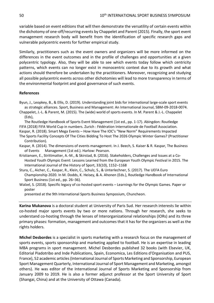variable based on event editions that will then demonstrate the versatility of certain events within the dichotomy of one-off/recurring events by Chappelet and Parent (2015). Finally, the sport event management research body will benefit from the identification of specific research gaps and vulnerable polycentric events for further empirical study.

Similarly, practitioners such as the event owners and organizers will be more informed on the differences in the event outcomes and in the profile of challenges and opportunities at a given polycentric typology. Also, they will be able to see which events today follow which centricity patterns, which events can no longer exist in monocentric context due to its growth and what actions should therefore be undertaken by the practitioners. Moreover, recognizing and studying all possible polycentric events across other dichotomies will lead to more transparency in terms of the environmental footprint and good governance of such events.

#### **References**

- Byun, J., Leopkey, B., & Ellis, D. (2019). Understanding joint bids for international large-scale sport events as strategic alliances. Sport, Business and Management: An International Journal, SBM-09-2018-0074.
- Chappelet, J.-L. & Parent, M. (2015). The (wide) world of sports events. In M. Parent & J.-L. Chappelet (Eds),
- The Routledge Handbook of Sports Event Management (1st ed., pp. 1-17). Abingdon: Routledge FIFA (2018) FIFA World Cup in numbers. Zurich : Fédération Internationale de Football Association.
- Kaspar, R. (2018). Smart Mega Events How Have The IOC's "New Norm" Requirements Impacted
- The Sports Facility Concepts Of The Cities Bidding To Host The 2026 Olympic Winter Games? (Practitioner Contribution).
- Kaspar, R. (2014). The dimensions of events management. In J. Beech, S. Kaiser & R. Kaspar, The Business of Events Management (1st ed.). Harlow: Pearson.
- Kristiansen, E., Strittmatter, A.-M., & Skirstad, B. (2016). Stakeholders, Challenges and Issues at a Co-Hosted Youth Olympic Event: Lessons Learned from the European Youth Olympic Festival in 2015. The International Journal of the History of Sport, 33(10), 1152–1168
- Stura, C., Aicher, C., Kaspar, R., Klein, C., Schulz, S., & Unterlechner, S. (2017). The UEFA Euro Championship 2020. In M. Dodds, K. Heisey, & A. Ahonen (Eds.), Routledge Handbook of International Sport Business (1st ed., pp. 26–36).
- Walzel, S. (2018). Specific legacy of co-hosted sport events Learnings for the Olympic Games. Paper or poster

presented at the 9th International Sports Business Symposium, Chuncheon.

**Karina Mukanova** is a doctoral student at University of Paris Sud. Her research interests lie within co-hosted major sports events by two or more nations. Through her research, she seeks to understand co-hosting through the lenses of Interorganizational relationships (IORs) and its three primary phases: formation, management and outcomes that it has for the organizers as well as the rights holders.

**Michel Desbordes** is a specialist in sports marketing with a research focus on the management of sports events, sports sponsorship and marketing applied to football. He is an expertise in leading MBA programs in sport management. Michel Desbordes published 32 books (with Elsevier, UK, Editorial Piadotribo and Inde Publications, Spain, Economica, Les Editions d'Organisation and PUS, France), 52 academic articles (International Journal of Sports Marketing and Sponsorship, European Sport Management Quarterly, International Journal of Sport Management and Marketing, amongst others). He was editor of the International Journal of Sports Marketing and Sponsorship from January 2009 to 2019. He is also a former adjunct professor at the Sport University of Sport (Shangai, China) and at the University of Ottawa (Canada).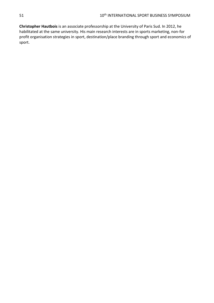**Christopher Hautbois** is an associate professorship at the University of Paris Sud. In 2012, he habilitated at the same university. His main research interests are in sports marketing, non-for profit organisation strategies in sport, destination/place branding through sport and economics of sport.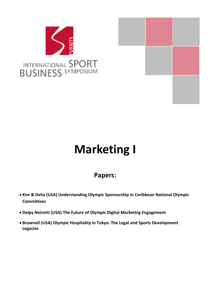



# <span id="page-51-0"></span>**Marketing I**

# **Papers:**

- **Kim & Delia (USA) Understanding Olympic Sponsorship in Caribbean National Olympic Committees**
- **Delpy Neirotti (USA) The Future of Olympic Digital Marketing Engagement**
- **Brownell (USA) Olympic Hospitality in Tokyo: The Legal and Sports Development Legacies**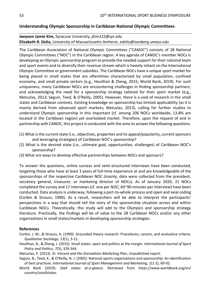# <span id="page-52-0"></span>**Understanding Olympic Sponsorship in Caribbean National Olympic Committees**

# **Jeeyoon Jamie Kim,** Syracuse University, *jkim122@syr.edu* **Elizabeth B. Delia,** University of Massachusetts Amherst, *edelia@isenberg.umass.edu*

The Caribbean Association of National Olympic Committees ("CANOC") consists of 28 National Olympic Committees ("NOC") in the Caribbean region. A key agenda of CANOC's member NOCs is developing an Olympic sponsorship program to provide the needed support for their national team and sport events and to diversify their revenue stream which is heavily reliant on the International Olympic Committee or government subsidies. The Caribbean NOCs have a unique sport market for being placed in small states that are oftentimes characterized by small population, confined economy, and small private sectors (e.g., Houlihan & Zheng, 2015; World Bank, 2019). For such uniqueness, many Caribbean NOCs are encountering challenges in finding sponsorship partners, and acknowledging the need for a sponsorship strategy tailored for their sport market (e.g., Metuzlas, 2013; Seguin, Teed, & O'Reilly, 2005). However, there is a void of research in the small states and Caribbean contexts. Existing knowledge on sponsorship has limited applicability (as it is mainly derived from advanced sport markets; Metuzlas, 2013), calling for further studies to understand Olympic sponsorship in this important (cf. among 206 NOCs worldwide, 13.8% are located in the Caribbean region) yet overlooked market. Therefore, upon the request of and in partnership with CANOC, this project is conducted with the aims to answer the following questions.

- (1) What is the current state (i.e., objectives, properties and its appeal/popularity, current sponsors and leveraging strategies) of Caribbean NOC's sponsorship?
- (2) What is the desired state (i.e., ultimate goal, opportunities, challenges) of Caribbean NOC's sponsorship?
- (3) What are ways to develop effective partnerships between NOCs and sponsors?

To answer the questions, online surveys and semi-structured interviews have been conducted, targeting those who have at least 3 years of full-time experience at and are knowledgeable of the sponsorships of the respective Caribbean NOC (mainly, data were collected from the president, secretary general, treasurer, or marketing director of NOCs). As of January 2020, 21 NOCs completed the survey and 17 interviews (cf. one per NOC; 60~90 minutes per interview) have been conducted. Data analysis is underway, following a part-to-whole process and open and axial coding (Corbin & Strauss, 1990). As a result, researchers will be able to interpret the participants' perspectives in a way that should tell the story of the sponsorship situation across and within Caribbean NOCs. Theoretically, this study will add to the Olympics and sponsorship strategy literature. Practically, the findings will be of value to the 28 Caribbean NOCs and/or any other organizations in small states/markets in developing sponsorship strategies.

#### **References**

- Corbin, J. M., & Strauss, A. (1990). Grounded theory research: Procedures, canons, and evaluative criteria. *Qualitative Sociology, 13*(1), 3-21.
- Houlihan, B., & Zheng, J. (2015). Small states: sport and politics at the margin. *International Journal of Sport Policy and Politics, 7(*3), 329-344.
- Metuzlas, P. (2013). *St. Vincent and the Grenadines Marketing Plan*, Unpublished report.
- Seguin, B., Teed, K., & O'Reilly, N. J. (2005). National sports organizations and sponsorship: An identification of best practices. *International Journal of Sport Management and Marketing, 1*(1-2), 69-92.
- World Bank (2019). *Stall states at-a-glance*. Retrieved from https://www.worldbank.org/en/ country/smallstates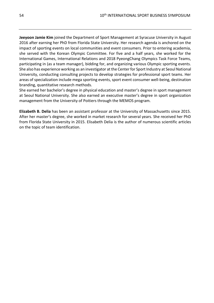**Jeeyoon Jamie Kim** joined the Department of Sport Management at Syracuse University in August 2016 after earning her PhD from Florida State University. Her research agenda is anchored on the impact of sporting events on local communities and event consumers. Prior to entering academia, she served with the Korean Olympic Committee. For five and a half years, she worked for the International Games, International Relations and 2018 PyeongChang Olympics Task Force Teams, participating in (as a team manager), bidding for, and organizing various Olympic sporting events. She also has experience working as an investigator at the Center for Sport Industry at Seoul National University, conducting consulting projects to develop strategies for professional sport teams. Her areas of specialization include mega sporting events, sport event consumer well-being, destination branding, quantitative research methods.

She earned her bachelor's degree in physical education and master's degree in sport management at Seoul National University. She also earned an executive master's degree in sport organization management from the University of Poitiers through the MEMOS program.

**Elizabeth B. Delia** has been an assistant professor at the University of Massachusetts since 2015. After her master's degree, she worked in market research for several years. She received her PhD from Florida State University in 2015. Elisabeth Delia is the author of numerous scientific articles on the topic of team identification.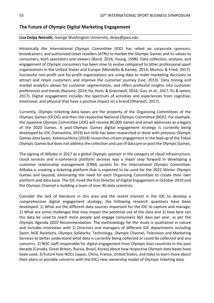# <span id="page-54-0"></span>**The Future of Olympic Digital Marketing Engagement**

## **Lisa Delpy Neirotti,** George Washington University, *delpy@gwu.edu*

Historically the International Olympic Committee (IOC) has relied on corporate sponsors, broadcasters, and authorized ticket resellers (ATRs) to market the Olympic Games and its values to consumers, both spectators and viewers (Baird, 2016; Young, 1998). Data collection, analysis, and engagement of Olympic consumers has been slow to evolve compared to other professional sport organizations in the United States and Europe (Mondello & Kamke, 2014; Mumcu & Fried, 2017). Successful non-profit and for-profit organizations are using data to make marketing decisions to attract and retain customers and improve the customer journey (Lee, 2013). Data mining and market analytics allows for customer segmentation, and offers profound insights into customer preferences and trends (Naraine, 2019; Ha, Hum, & Greenwell, 2016; Guo, et.al., 2017; Pu & James, 2017). Digital engagement includes the spectrum of activities and experiences from cognitive, emotional, and physical that have a positive impact on a brand (Dhanesh, 2017).

Currently, Olympic ticketing data bases are the property of the Organizing Committees of the Olympic Games (OCOG) and then the respective National Olympic Committee (NOC). For example, the Japanese Olympic Committee (JOC) will receive 80,000 names and email addresses as a legacy of the 2020 Games. A post-Olympic Games digital engagement strategy is currently being developed by JOC (Yamashita, 2019) but little has been researched or done with previous Olympic Games data bases. Kolotouchkina (2018) researches citizen engagement in the lead up of the Tokyo Olympic Games but does not address the collection and use of data pre or post the Olympic Games.

The signing of Alibaba in 2017 as a global Olympic sponsor in the category of cloud infrastructure, cloud services and e-commerce platform services was a major step forward in developing a customer relationship management (CRM) system for the International Olympic Committee. Alibaba is creating a ticketing platform that is expected to be used for the 2022 Winter Olympic Games and beyond, eliminating the need for each Organizing Committee to create their own platform and data base. The IOC hired the first Director of Digital Engagement in October 2019 and the Olympic Channel is building a team of over 40 data scientists.

Consider the lack of literature in this area and the recent interest in the IOC to develop a comprehensive digital engagement strategy, the following research questions have been developed: 1) What are the different data sources important for the IOC to capture and manage; 2) What are some challenges that may impact the potential use of the data and 3) How best can the data be used to reach more people and engage consumers 365 days per year, as per the Olympic Agenda 2020 Recommendation. The methodology for the study is qualitative in nature and includes interviews with 1) Directors and managers of different IOC departments including Sport, NOC Relations, Olympic Solidarity, Technology, Olympic Channel, Television and Marketing Services to better understand what data is currently being collected or could be collected and any concerns. 2) NOC staff responsible for digital engagement from Olympic host countries in the past decade (Canada, Great Britain, Russia, Brazil, Korea) about how respective Olympic data bases have been used. 3) Future host NOCs (Japan, China, France, United States, and Italy) to learn more about their plans or possible concerns with the IOCs new ownership model of Olympic ticketing data.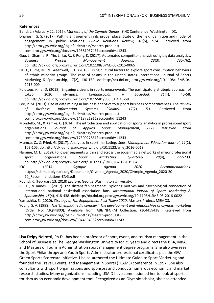#### **References**

Baird, L. (February 22, 2016). *Marketing of the Olympic Games*. SINC Conference, Washington, DC.

- Dhanesh, G. S. (2017). Putting engagement in its proper place: State of the field, definition and model of engagement in public relations. *Public Relations Review, 43*(5), 924. Retrieved from http://proxygw.wrlc.org/login?url=https://search-proquest
	- com.proxygw.wrlc.org/docview/1988103746?accountid=11243
- Guo, L., Sharma, R., Yin, L., Lu, R., & Rong, K. (2017). Automated competitor analysis using big data analytics. *Business Process Management Journal, 23*(3), 735-762. doi:http://dx.doi.org.proxygw.wrlc.org/10.1108/BPMJ-05-2015-0065
- Ha, J., Hums, M., & Greenwell, T. C. (2016). Using cultural factors to explore sport consumption behaviors of ethnic minority groups: The case of asians in the united states. International Journal of Sports Marketing & Sponsorship, 17(2), 130-152. doi:http://dx.doi.org.proxygw.wrlc.org/10.1108/IJSMS-04- 2016-009
- Kolotouchkina, O. (2018). Engaging citizens in sports mega-events: The participatory strategic approach of tokyo 2020 olympics. *Comunicación y Sociedad, 31*(4), 45-58. doi:http://dx.doi.org.proxygw.wrlc.org/10.15581/003.31.4.45-58
- Lee, P. M. (2013). Use of data mining in business analytics to support business competitiveness. The *Review of Business Information Systems (Online), 17*(2), 53. Retrieved from http://proxygw.wrlc.org/login?url=https://search-proquestcom.proxygw.wrlc.org/docview/1418721911?accountid=11243
- Mondello, M., & Kamke, C. (2014). The introduction and application of sports analytics in professional sport organizations. *Journal of Applied Sport Management, 6*(2) Retrieved from http://proxygw.wrlc.org/login?url=https://search-proquestcom.proxygw.wrlc.org/docview/1730027881?accountid=11243
- Mumcu, C., & Fried, G. (2017). Analytics in sport marketing. *Sport Management Education Journal, 11*(2), 102-105. doi:http://dx.doi.org.proxygw.wrlc.org/10.1123/smej.2016-0019
- Naraine, M. L. (2019). Follower segments within and across the social media networks of major professional sport organizations. *Sport Marketing Quarterly, 28*(4), 222-233. doi:http://dx.doi.org.proxygw.wrlc.org/10.32731/SMQ.284.122019.04

IOC (2014). *Olympic Agenda 2020 Recommendations*. https://stillmed.olympic.org/Documents/Olympic\_Agenda\_2020/Olympic\_Agenda\_2020-20- 20 Recommendations-ENG.pdf

Pound, R. (February 13, 2018) *Lecture*. George Washington University.

- Pu, H., & James, J. (2017). The distant fan segment: Exploring motives and psychological connection of international national basketball association fans. *International Journal of Sports Marketing & Sponsorship, 18*(4), 418-438. doi:http://dx.doi.org.proxygw.wrlc.org/10.1108/IJSMS-05-2016-0022
- Yamashita, S. (2020). *Strategy of Fan Engagement Post Tokyo 2020*. Masters Project, MEMOS.
- Young, S. A. (1998*). The 'Olympic/media complex': The development and relationships of olympic marketing* (Order No. MQ44800). Available from ABI/INFORM Collection. (304459438). Retrieved from http://proxygw.wrlc.org/login?url=https://search-proquest-

com.proxygw.wrlc.org/docview/304459438?accountid=11243

**Lisa Delpy Neirotti,** Ph.D., has been a professor of sport, event, and tourism management in the School of Business at The George Washington University for 25 years and directs the BBA, MBA, and Masters of Tourism Administration sport management degree programs. She also oversees the Sport Philanthropy and Youth Sports Administrator professional certificates plus the GW Green Sports Scorecard initiative. Lisa co-authored the Ultimate Guide to Sport Marketing and founded the Travel, Events, and Management in Sports (TEAMS) conference in 1997. She also consultants with sport organizations and sponsors and conducts numerous economic and market research studies. Many organizations including USAID have commissioned her to look at sport tourism as an economic development tool. Recognized as an Olympic scholar, she has attended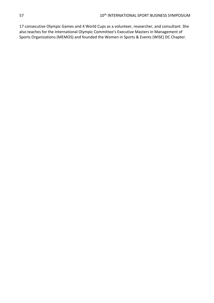17 consecutive Olympic Games and 4 World Cups as a volunteer, researcher, and consultant. She also teaches for the International Olympic Committee's Executive Masters in Management of Sports Organizations (MEMOS) and founded the Women in Sports & Events (WISE) DC Chapter.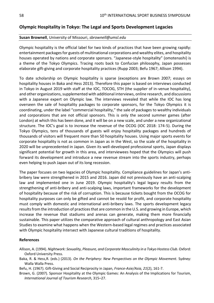# <span id="page-57-0"></span>**Olympic Hospitality in Tokyo: The Legal and Sports Development Legacies**

# **Susan Brownell**, University of Missouri, *sbrownell@umsl.edu*

Olympic hospitality is the official label for two kinds of practices that have been growing rapidly: entertainment packages for guests of multinational corporations and wealthy elites, and hospitality houses operated by nations and corporate sponsors. "Japanese-style hospitality" (omotenashi) is a theme of the Tokyo Olympics. Tracing roots back to Confucian philosophy, Japan possesses elaborate gift-giving and corporate hospitality practices (Rupp 2003; Befu 1967; Allison 1994).

To date scholarship on Olympic hospitality is sparse (exceptions are Brown 2007; essays on hospitality houses in Baka and Hess 2013). Therefore this paper is based on interviews conducted in Tokyo in August 2019 with staff at the IOC, TOCOG, STH (the supplier of in-venue hospitality), and other organizations, supplemented with additional interviews, online research, and discussions with a Japanese expert on Olympic law. The interviews revealed that while the IOC has long overseen the sale of hospitality packages to corporate sponsors, for the Tokyo Olympics it is coordinating, under the label "commercial hospitality," the sale of packages to wealthy individuals and corporations that are not official sponsors. This is only the second summer games (after London) at which this has been done, and it will be on a new scale, and under a new organizational structure. The IOC's goal is to increase the revenue of the OCOG (IOC 2018: 174-5). During the Tokyo Olympics, tens of thousands of guests will enjoy hospitality packages and hundreds of thousands of visitors will frequent more than 50 hospitality houses. Using major sports events for corporate hospitality is not as common in Japan as in the West, so the scale of the hospitality in 2020 will be unprecedented in Japan. Given its well-developed professional sports, Japan displays significant potential for growth in this area, and interviewees hoped that the Olympics will push forward its development and introduce a new revenue stream into the sports industry, perhaps even helping to push Japan out of its long recession.

The paper focuses on two legacies of Olympic hospitality. Compliance guidelines for Japan's antibribery law were strengthened in 2015 and 2016. Japan did not previously have an anti-scalping law and implemented one in June 2019. Olympic hospitality's legal legacy results from the strengthening of anti-bribery and anti-scalping laws, important frameworks for the development of hospitality because of the risk of corruption. This is because tickets bought from the OCOG for hospitality purposes can only be gifted and cannot be resold for profit, and corporate hospitality must comply with domestic and international anti-bribery laws. The sports development legacy results from the introduction of practices that are common in the U.S. and growing in Europe, which increase the revenue that stadiums and arenas can generate, making them more financially sustainable. This paper utilizes the comparative approach of cultural anthropology and East Asian Studies to examine what happens when the Western-based legal regimes and practices associated with Olympic hospitality intersect with Japanese cultural traditions of hospitality.

## **References**

- Baka, R. & Hess,R. (eds.) (2013). *On the Periphery: New Perspectives on the Olympic Movement.* Sydney: Walla Walla Press.
- Befu, H. (1967). Gift-Giving and Social Reciprocity in Japan, *France-Asie/Asia, 21*(2), 161-7.
- Brown, G. (2007). Sponsor Hospitality at the Olympic Games: An Analysis of the Implications for Tourism, *International Journal of Tourism Research*, 315–27.

Allison, A. (1994). *Nightwork: Sexuality, Pleasure, and Corporate Masculinity in a Tokyo Hostess Club*. Oxford: Oxford University Press.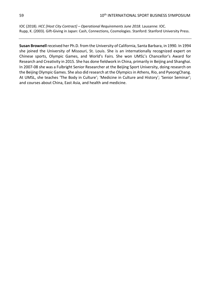IOC (2018). *HCC [Host City Contract] – Operational Requirements June 2018*. Lausanne: IOC. Rupp, K. (2003). Gift-Giving in Japan: Cash, Connections, Cosmologies. Stanford: Stanford University Press.

**Susan Brownell** received her Ph.D. from the University of California, Santa Barbara, in 1990. In 1994 she joined the University of Missouri, St. Louis. She is an internationally recognized expert on Chinese sports, Olympic Games, and World's Fairs. She won UMSL's Chancellor's Award for Research and Creativity in 2015. She has done fieldwork in China, primarily in Beijing and Shanghai. In 2007-08 she was a Fulbright Senior Researcher at the Beijing Sport University, doing research on the Beijing Olympic Games. She also did research at the Olympics in Athens, Rio, and PyeongChang. At UMSL, she teaches 'The Body in Culture'; 'Medicine in Culture and History'; 'Senior Seminar'; and courses about China, East Asia, and health and medicine.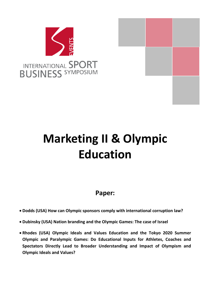

# <span id="page-59-0"></span>**Marketing II & Olympic Education**

# **Paper:**

- **Dodds (USA) How can Olympic sponsors comply with international corruption law?**
- **Dubinsky (USA) Nation branding and the Olympic Games: The case of Israel**
- **Rhodes (USA) Olympic Ideals and Values Education and the Tokyo 2020 Summer Olympic and Paralympic Games: Do Educational Inputs for Athletes, Coaches and Spectators Directly Lead to Broader Understanding and Impact of Olympism and Olympic Ideals and Values?**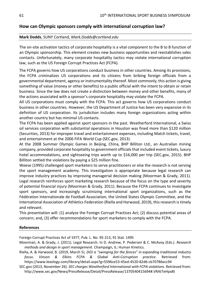# <span id="page-60-0"></span>**How can Olympic sponsors comply with international corruption law?**

## **Mark Dodds**, SUNY Cortland, *Mark.Dodds@cortland.edu*

The on-site activation tactics of corporate hospitality is a vital component to the B to B function of an Olympic sponsorship. This element creates new business opportunities and reestablishes sales contacts. Unfortunately, many corporate hospitality tactics may violate international corruption law, such as the US Foreign Corrupt Practices Act (FCPA).

The FCPA governs how US corporations conduct business in other countries. Among its provisions, the FCPA criminalizes US corporations and its citizens from bribing foreign officials from a governmental department, agency or instrumentality thereof. Most commonly, this action is giving something of value (money or other benefits) to a public official with the intent to obtain or retain business. Since the law does not create a distinction between money and other benefits, many of the actions associated with a sponsor's corporate hospitality may violate the FCPA.

All US corporations must comply with the FCPA. This act governs how US corporations conduct business in other countries. However, the US Department of Justice has been very expansive in its definition of US corporation. Its jurisdiction includes many foreign organizations acting within another country but has minimal US contacts.

The FCPA has been applied against sport sponsors in the past. Weatherford International, a Swiss oil services corporation with substantial operations in Houston was fined more than \$120 million (Securities, 2013) for improper travel and entertainment expenses, including Match tickets, travel, and entertainment at the 2006 FIFA World Cup (SEC.gov, 2013).

At the 2008 Summer Olympic Games in Beijing, China, BHP Billiton Ltd., an Australian mining company, provided corporate hospitality to government officials that included event tickets, luxury hotel accommodations, and sightseeing trips worth up to \$16,000 per trip (SEC.gov, 2015). BHP Billiton settled the violations by paying a \$25 million fine.

Weese (1995) challenged sport marketers to serve practitioners or else the research is not serving the sport management academy. This investigation is appropriate because legal research can improve industry practices by improving managerial decision making (Moorman & Grady, 2011). Legal research reinforces sport marketing research because of the focus on the type and severity of potential financial injury (Moorman & Grady, 2011). Because the FCPA continues to investigate sport sponsors, and increasingly scrutinizing international sport organizations, such as the Fédération Internationale de Football Association, the United States Olympic Committee, and the International Association of Athletics Federation (Riella and Harwood, 2019), this research is timely and relevant.

This presentation will: (1) analyze the Foreign Corrupt Practices Act; (2) discuss potential areas of concern; and, (3) offer recommendations for sport marketers to comply with the FCPA.

## **References**

Foreign Corrupt Practices Act of 1977, Pub. L. No. 95-213, 91 Stat. 1495

Moorman, A. & Grady, J. (2011). Legal Research. In D. Andrew, P. Pedersen & C. McAvoy (Eds.). *Research methods and design in sport management*. Champaign, IL: Human Kinetics.

Riella, A. & Harwood, B. (2019, March 5). *DOJ is "swinging for the fences" in expanding traditional industry focus. Vinson & Elkins FCPA & Global Anti-Corruption practice*. Retrieved from: https://www.lexology.com/library/detail.aspx?g=5596ce53-45ed-4520-82d6-cb70786ecc94

SEC.gov (2013, November 26). *SEC charges Weatherford International with FCPA violations*. Retrieved from: http://www.sec.gov/News/PressRelease/Detail/PressRelease/1370540415694#.VRAtTeHpx8t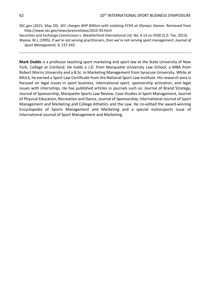- SEC.gov (2015, May 20). *SEC charges BHP Billiton with violating FCPA at Olympic Games*. Retrieved from http://www.sec.gov/news/pressrelease/2015-93.html
- Securities and Exchange Commission v. Weatherford International Ltd. No. 4:13-cv-3500 (S.D. Tex. 2013).
- Weese, W.J. (1995). If we're not serving practitioners, then we're not serving sport management. *Journal of Sport Management, 9,* 237-243.

**Mark Dodds** is a professor teaching sport marketing and sport law at the State University of New York, College at Cortland. He holds a J.D. from Marquette University Law School, a MBA from Robert Morris University and a B.Sc. in Marketing Management from Syracuse University. While at MULS, he earned a Sport Law Certificate from the National Sport Law Institute. His research area is focused on legal issues in sport business, international sport, sponsorship activation, and legal issues with internships. He has published articles in journals such as: Journal of Brand Strategy, Journal of Sponsorship, Marquette Sports Law Review, Case Studies in Sport Management, Journal of Physical Education, Recreation and Dance, Journal of Sponsorship, International Journal of Sport Management and Marketing and College Athletics and the Law. He co-edited the award-winning Encyclopedia of Sports Management and Marketing and a special motorsports issue of International Journal of Sport Management and Marketing.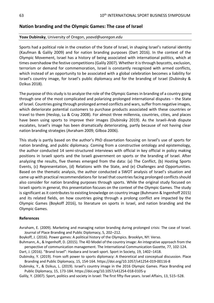# <span id="page-62-0"></span>**Nation branding and the Olympic Games: The case of Israel**

## **Yoav Dubinsky**, University of Oregon, *yoavd@uoregon.edu*

Sports had a political role in the creation of the State of Israel, in shaping Israel's national identity (Kaufman & Galily 2009) and for nation branding purposes (Dart 2016). In the context of the Olympic Movement, Israel has a history of being associated with international politics, which at times overshadow the festive competitions (Galily 2007). Whether it is through boycotts, exclusion, terrorism or demand for commemoration, Israel is constantly recognized with armed conflicts, which instead of an opportunity to be associated with a global celebration becomes a liability for Israel's country image, for Israel's public diplomacy and for the branding of Israel (Dubinsky & Dzikus 2018).

The purpose of this study is to analyze the role of the Olympic Games in branding of a country going through one of the most complicated and polarizing prolonged international disputes – the State of Israel. Countries going through prolonged armed conflicts and wars, suffer from negative images, which deteriorate potential customers to purchase products associated with these countries or travel to them (Heslop, Lu & Cray 2008). For almost three millennia, countries, cities, and places have been using sports to improve their images (Dubinsky 2019). As the Israeli-Arab dispute escalates, Israel's image has been dramatically deteriorating, partly because of not having clear nation branding strategies (Avraham 2009; Gilboa 2006).

This study is partly based on the author's PhD dissertation focusing on Israel's use of sports for nation branding, and public diplomacy. Coming from a constructive ontology and epistemology, the author conducted 14 semi-structured interviews with official in key official in policy making positions in Israeli sports and the Israeli government on sports or the branding of Israel. After analyzing the results, five themes emerged from the data: (a) The Conflict, (b) Hosting Sports Events, (c) Representation, (d) Relations with the State, and (e) Challenges and Opportunities. Based on the thematic analysis, the author conducted a SWOT analysis of Israel's situation and came up with practical recommendations for Israel that countries facing prolonged conflicts should also consider for nation branding purposes through sports. While the original study focused on Israeli sports in general, this presentation focuses on the context of the Olympic Games. The study is significant as it contributes to existing knowledge on country image (Buhmann & Ingenhoff 2015) and its related fields, on how countries going through a prolong conflict are impacted by the Olympic Games (Boykoff 2016), to literature on sports in Israel, and nation branding and the Olympic Games.

## **References**

- Avraham, E. (2009). Marketing and managing nation branding during prolonged crisis: The case of Israel. Journal of Place Branding and Public Diplomacy, 5, 202–212.
- Boykoff, J. (2016). Power games: A political history of the Olympics. Brooklyn, NY: Verso.
- Buhmann, A., & Ingenhoff, D. (2015). The 4D Model of the country image: An integrative approach from the perspective of communication management. The International Communication Gazette, 77, 102-124.

Dart, J. (2016). "Brand Israel": Hasbara and Israeli sport. Sport in Society, 19, 1402–1418.

Dubinsky, Y. (2019). From soft power to sports diplomacy: A theoretical and conceptual discussion. Place Branding and Public Diplomacy, 15, 154-164. https://doi.org/10.1057/s41254-019-00116-8

Dubinsky, Y., & Dzikus, L. (2019). Israel's country image in the 2016 Olympic Games. Place Branding and Public Diplomacy, 15, 173-184. https://doi.org/10.1057/s41254-018-0105-y

Galily, Y. (2007). Sport, politics and society in Israel: The first fifty-five years. Israel Affairs, 13, 515–528.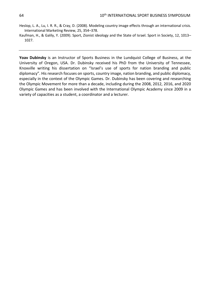Heslop, L. A., Lu, I. R. R., & Cray, D. (2008). Modeling country image effects through an international crisis. International Marketing Review, 25, 354–378.

**Yoav Dubinsky** is an Instructor of Sports Business in the Lundquist College of Business, at the University of Oregon, USA. Dr. Dubinsky received his PhD from the University of Tennessee, Knoxville writing his dissertation on "Israel's use of sports for nation branding and public diplomacy". His research focuses on sports, country image, nation branding, and public diplomacy, especially in the context of the Olympic Games. Dr. Dubinsky has been covering and researching the Olympic Movement for more than a decade, including during the 2008, 2012, 2016, and 2020 Olympic Games and has been involved with the International Olympic Academy since 2009 in a variety of capacities as a student, a coordinator and a lecturer.

Kaufman, H., & Galily, Y. (2009). Sport, Zionist ideology and the State of Israel. Sport in Society, 12, 1013– 1027.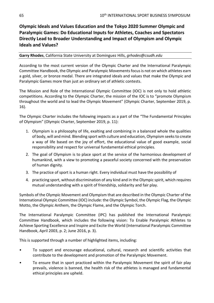# <span id="page-64-0"></span>**Olympic Ideals and Values Education and the Tokyo 2020 Summer Olympic and Paralympic Games: Do Educational Inputs for Athletes, Coaches and Spectators Directly Lead to Broader Understanding and Impact of Olympism and Olympic Ideals and Values?**

## **Garry Rhodes**, California State University at Dominguez Hills, *grhodes@csudh.edu*

According to the most current version of the Olympic Charter and the International Paralympic Committee Handbook, the Olympic and Paralympic Movements focus is not on which athletes earn a gold, silver, or bronze medal. There are integrated ideals and values that make the Olympic and Paralympic Games more than just an ordinary set of athletic contests.

The Mission and Role of the International Olympic Committee (IOC) is not only to hold athletic competitions. According to the Olympic Charter, the mission of the IOC is to "promote Olympism throughout the world and to lead the Olympic Movement" (Olympic Charter, September 2019, p. 16).

The Olympic Charter includes the following impacts as a part of the "The Fundamental Principles of Olympism" (Olympic Charter, September 2019, p. 11):

- 1. Olympism is a philosophy of life, exalting and combining in a balanced whole the qualities of body, will and mind. Blending sport with culture and education, Olympism seeks to create a way of life based on the joy of effort, the educational value of good example, social responsibility and respect for universal fundamental ethical principles.
- 2. The goal of Olympism is to place sport at the service of the harmonious development of humankind, with a view to promoting a peaceful society concerned with the preservation of human dignity.
- 3. The practice of sport is a human right. Every individual must have the possibility of
- 4. practicing sport, without discrimination of any kind and in the Olympic spirit, which requires mutual understanding with a spirit of friendship, solidarity and fair play.

Symbols of the Olympic Movement and Olympism that are described in the Olympic Charter of the International Olympic Committee (IOC) include: the Olympic Symbol, the Olympic Flag, the Olympic Motto, the Olympic Anthem, the Olympic Flame, and the Olympic Torch.

The International Paralympic Committee (IPC) has published the International Paralympic Committee Handbook, which includes the following vision: To Enable Paralympic Athletes to Achieve Sporting Excellence and Inspire and Excite the World (International Paralympic Committee Handbook, April 2003, p. 2; June 2016, p. 3).

This is supported through a number of highlighted items, including:

- To support and encourage educational, cultural, research and scientific activities that contribute to the development and promotion of the Paralympic Movement.
- To ensure that in sport practiced within the Paralympic Movement the spirit of fair play prevails, violence is banned, the health risk of the athletes is managed and fundamental ethical principles are upheld.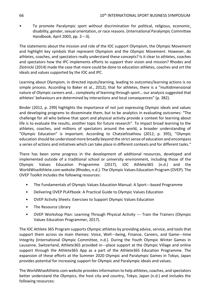• To promote Paralympic sport without discrimination for political, religious, economic, disability, gender, sexual orientation, or race reasons. (International Paralympic Committee Handbook, April 2003, pp. 2---3).

The statements about the mission and role of the IOC support Olympism, the Olympic Movement and highlight key symbols that represent Olympism and the Olympic Movement. However, do athletes, coaches, and spectators really understand these concepts? Is it clear to athletes, coaches and spectators how the IPC implements efforts to support their vision and mission? Rhodes and Zlotnicki (2014) made the case that more could be done to education athletes, coaches and ort the ideals and values supported by the IOC and IPC.

Learning about Olympism, in directed inputs/learning, leading to outcomes/learning actions is no simple process. According to Baker et al., 2012), that for athletes, there is a "multidimensional nature of Olympic careers and… complexity of learning through sport… our analysis suggested that athletes' behaviours are determined by interactions and local consequences" (p. 382).

Binder (2012, p. 299) highlights the importance of not just expressing Olympic ideals and values and developing programs to disseminate them, but to be analytics in evaluating outcomes: "The challenge for all who believe that sport and physical activity provide a context for learning about life is to evaluate the results, another topic for future research". To impact broad learning to the athletes, coaches, and millions of spectators around the world, a broader understanding of "Olympic Education" is important. According to Chatziefstathiou (2012, p. 395), "Olympic education should be understood more broadly beyond the strict sense of education and encompass a series of actions and initiatives which can take place in different contexts and for different tasks."

There has been some progress in the development of additional resources, developed and implemented outside of a traditional school or university environment, including those of the Olympic Values Education Programme (2017), IOC Athlete365 (n.d.) and the WorldWiseAthlete.com website (Rhodes, n.d.). The Olympic Values Education Program (OVEP). The OVEP Toolkit includes the following resources:

- The Fundamentals of Olympic Values Education Manual: A Sport---based Programme
- Delivering OVEP PLAYbook: A Practical Guide to Olympic Values Education
- OVEP Activity Sheets: Exercises to Support Olympic Values Education
- The Resource Library
- OVEP Workshop Plan: Learning Through Physical Activity --- Train the Trainers (Olympic Values Education Programmer, 2017).

The IOC Athlete 365 Program supports Olympic athletes by providing advice, service, and tools that support them across six main themes: Voice, Well---being, Finance, Careers, and Game---time Integrity (International Olympic Committee, n.d.). During the Youth Olympic Winter Games in Lausanne, Switzerland, Athlete365 provided in---place support at the Olympic Village and online support through the Athlete365 App as a part of the Athlete365 Education Programme. The expansion of these efforts at the Summer 2020 Olympic and Paralympic Games in Tokyo, Japan provides potential for increasing support for Olympic and Paralympic ideals and values.

The WorldWiseAthlete.com website provides information to help athletes, coaches, and spectators better understand the Olympics, the host city and country, Tokyo, Japan (n.d.) and includes the following resources: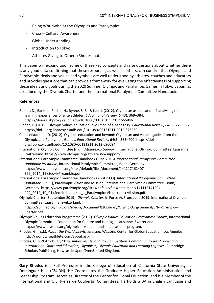- Being Worldwise at the Olympics and Paralympics
- Cross---Cultural Awareness
- Global Understanding
- Introduction to Tokyo
- Athletes Giving to Others (Rhodes, n.d.).

This paper will expand upon some of these key concepts and raise questions about whether there is any good data confirming that these resources, as well as others, can confirm that Olympic and Paralympic ideals and values and symbols are well understood by athletes, coaches and educators and provides questions that can provide a framework for evaluating the effectiveness of supporting these ideals and goals during the 2020 Summer Olympic and Paralympic Games in Tokyo, Japan, as described by the Olympic Charter and the International Paralympic Committee Handbook.

## **References**

- Barker, D., Barker---Ruchti, N., Rynne, S. B., & Lee, J. (2012). Olympism as education: 4 analysing the learning experiences of elite athletes. *Educational Review, 64*(3), 369–384. https://doiorg.libproxy.csudh.edu/10.1080/00131911.2012.665846
- Binder, D. (2012). Olympic values education: evolution of a pedagogy. *Educational Review, 64*(3), 275–302. https://doi--- org.libproxy.csudh.edu/10.1080/00131911.2012.676539
- Chatziefstathiou, D. (2012). Olympic education and beyond: Olympism and value legacies from the Olympic and Paralympic Games. *Educational Review, 64*(3), 385–400. https://doi org.libproxy.csudh.edu/10.1080/00131911.2012.696094
- International Olympic Committee (n.d.). *Athlete365 Support*, International Olympic Committee, Lausanne, Switzerland. https://www.olympic.org/athlete365/support/.
- International Paralympic Committee Handbook (June 2016). *International Paralympic Committee Handbook Preamble*, International Paralympic Committee, Bonn, Germany. https://www.paralympic.org/sites/default/files/document/141217162407 366\_2014\_12+Sec+i+Preamble.pdf.
- International Paralympic Committee Handbook (April 2003). *International Paralympic Committee Handbook, 1 (1.1*), Paralympic Vision and Mission, International Paralympic Committee, Bonn, Germany. https://www.paralympic.org/sites/default/files/document/141113141204 499 2014 10 01+Sec+i+chapter+1 1 Paralympic+Vision+and+Mission.pdf.
- Olympic Charter (September 2019). *Olympic Charter*: In Force As From June 2019, International Olympic Committee, Lausanne, Switzerland.

https://stillmed.olympic.org/media/Document%20Library/OlympicOrg/General/EN---Olympic---Charter.pdf.

- Olympic Values Education Programme (2017). *Olympic Values Education Programme Toolkit*, International Olympic Committee Foundation for Culture and Heritage, Lausanne, Switzerland. https://www.olympic.org/olympic--- values---and---education---program.
- Rhodes, G. (n.d.). *About the WorldwiseAthlete.com Website*. Center for Global Education, Los Angeles. http://worldwiseathlete.com/about.asp.
- Rhodes, G. & Zlotnicki, J. (2014*). Initiatives Beyond the Competition: Common Purposes Connecting International Sport and Education, Olympism, Olympic Education and Learning Legacies*. Cambridge Scholars Publishing, Newcastle Upon Tyne,United Kingdom.

**Gary Rhodes** is a Full Professor in the College of Education at California State University at Dominguez Hills (CSUDH). He Coordinates the Graduate Higher Education Administration and Leadership Program, serves as Director of the Center for Global Education, and is a Member of the International and U.S. Pierre de Coubertin Committees. He holds a BA in English Language and